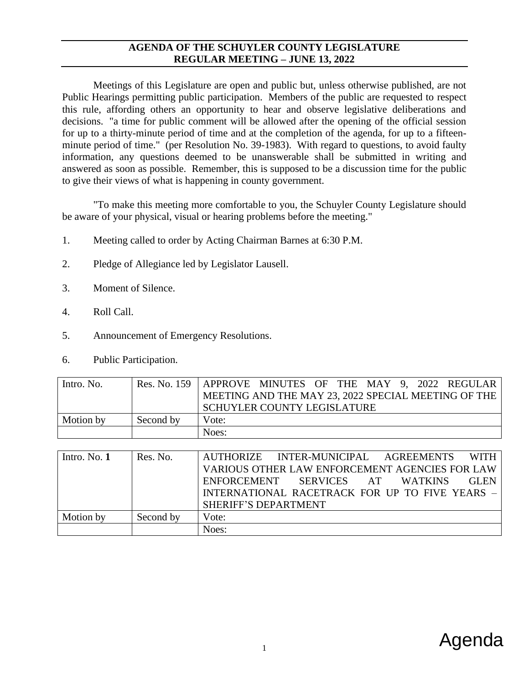#### **AGENDA OF THE SCHUYLER COUNTY LEGISLATURE REGULAR MEETING – JUNE 13, 2022**

Meetings of this Legislature are open and public but, unless otherwise published, are not Public Hearings permitting public participation. Members of the public are requested to respect this rule, affording others an opportunity to hear and observe legislative deliberations and decisions. "a time for public comment will be allowed after the opening of the official session for up to a thirty-minute period of time and at the completion of the agenda, for up to a fifteenminute period of time." (per Resolution No. 39-1983). With regard to questions, to avoid faulty information, any questions deemed to be unanswerable shall be submitted in writing and answered as soon as possible. Remember, this is supposed to be a discussion time for the public to give their views of what is happening in county government.

"To make this meeting more comfortable to you, the Schuyler County Legislature should be aware of your physical, visual or hearing problems before the meeting."

- 1. Meeting called to order by Acting Chairman Barnes at 6:30 P.M.
- 2. Pledge of Allegiance led by Legislator Lausell.
- 3. Moment of Silence.
- 4. Roll Call.
- 5. Announcement of Emergency Resolutions.
- 6. Public Participation.

| Intro. No. |           | Res. No. 159   APPROVE MINUTES OF THE MAY 9, 2022 REGULAR |
|------------|-----------|-----------------------------------------------------------|
|            |           | MEETING AND THE MAY 23, 2022 SPECIAL MEETING OF THE       |
|            |           | SCHUYLER COUNTY LEGISLATURE                               |
| Motion by  | Second by | Vote:                                                     |
|            |           | Noes:                                                     |

| Intro. No. $1$ | Res. No.  | <b>WITH</b><br>AUTHORIZE INTER-MUNICIPAL AGREEMENTS |
|----------------|-----------|-----------------------------------------------------|
|                |           | VARIOUS OTHER LAW ENFORCEMENT AGENCIES FOR LAW      |
|                |           | ENFORCEMENT SERVICES AT WATKINS<br><b>GLEN</b>      |
|                |           | INTERNATIONAL RACETRACK FOR UP TO FIVE YEARS -      |
|                |           | <b>SHERIFF'S DEPARTMENT</b>                         |
| Motion by      | Second by | Vote:                                               |
|                |           | Noes:                                               |

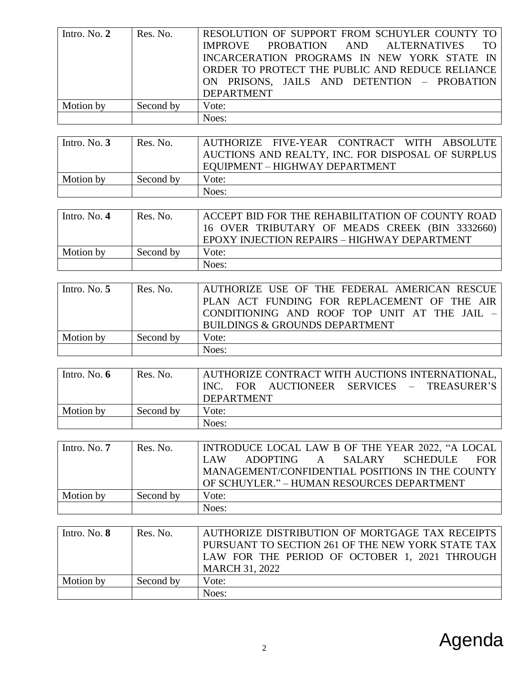| Intro. No. $2$ | Res. No.  | RESOLUTION OF SUPPORT FROM SCHUYLER COUNTY TO<br>IMPROVE PROBATION AND ALTERNATIVES<br>INCARCERATION PROGRAMS IN NEW YORK STATE IN<br>ORDER TO PROTECT THE PUBLIC AND REDUCE RELIANCE<br>ON PRISONS, JAILS AND DETENTION - PROBATION<br><b>DEPARTMENT</b> |
|----------------|-----------|-----------------------------------------------------------------------------------------------------------------------------------------------------------------------------------------------------------------------------------------------------------|
| Motion by      | Second by | Vote:                                                                                                                                                                                                                                                     |
|                |           | Noes:                                                                                                                                                                                                                                                     |

| Intro. No. $3$ | Res. No.  | AUTHORIZE FIVE-YEAR CONTRACT WITH ABSOLUTE<br>AUCTIONS AND REALTY, INC. FOR DISPOSAL OF SURPLUS<br>EQUIPMENT - HIGHWAY DEPARTMENT |
|----------------|-----------|-----------------------------------------------------------------------------------------------------------------------------------|
| Motion by      | Second by | Vote:                                                                                                                             |
|                |           | Noes:                                                                                                                             |

| Intro. No. $4$ | Res. No.  | ACCEPT BID FOR THE REHABILITATION OF COUNTY ROAD<br>16 OVER TRIBUTARY OF MEADS CREEK (BIN 3332660)<br>EPOXY INJECTION REPAIRS - HIGHWAY DEPARTMENT |
|----------------|-----------|----------------------------------------------------------------------------------------------------------------------------------------------------|
| Motion by      | Second by | Vote:                                                                                                                                              |
|                |           | Noes:                                                                                                                                              |

| Intro. No. $5$ | Res. No.  | AUTHORIZE USE OF THE FEDERAL AMERICAN RESCUE |
|----------------|-----------|----------------------------------------------|
|                |           | PLAN ACT FUNDING FOR REPLACEMENT OF THE AIR  |
|                |           | CONDITIONING AND ROOF TOP UNIT AT THE JAIL   |
|                |           | <b>BUILDINGS &amp; GROUNDS DEPARTMENT</b>    |
| Motion by      | Second by | Vote:                                        |
|                |           | Noes:                                        |

| Intro. No. $6$ | Res. No.  | AUTHORIZE CONTRACT WITH AUCTIONS INTERNATIONAL,<br>INC. FOR AUCTIONEER SERVICES – TREASURER'S<br><b>DEPARTMENT</b> |
|----------------|-----------|--------------------------------------------------------------------------------------------------------------------|
| Motion by      | Second by | Vote:                                                                                                              |
|                |           | Noes:                                                                                                              |

| Intro. No. $7$ | Res. No.  | <b>INTRODUCE LOCAL LAW B OF THE YEAR 2022, "A LOCAL  </b> |
|----------------|-----------|-----------------------------------------------------------|
|                |           | ADOPTING A SALARY SCHEDULE<br>FOR 1<br>LAW                |
|                |           | MANAGEMENT/CONFIDENTIAL POSITIONS IN THE COUNTY           |
|                |           | OF SCHUYLER." – HUMAN RESOURCES DEPARTMENT                |
| Motion by      | Second by | Vote:                                                     |
|                |           | Noes:                                                     |

| Intro. No. $8$ | Res. No.  | AUTHORIZE DISTRIBUTION OF MORTGAGE TAX RECEIPTS<br>PURSUANT TO SECTION 261 OF THE NEW YORK STATE TAX<br>LAW FOR THE PERIOD OF OCTOBER 1, 2021 THROUGH<br><b>MARCH 31, 2022</b> |
|----------------|-----------|--------------------------------------------------------------------------------------------------------------------------------------------------------------------------------|
| Motion by      | Second by | Vote:                                                                                                                                                                          |
|                |           | Noes:                                                                                                                                                                          |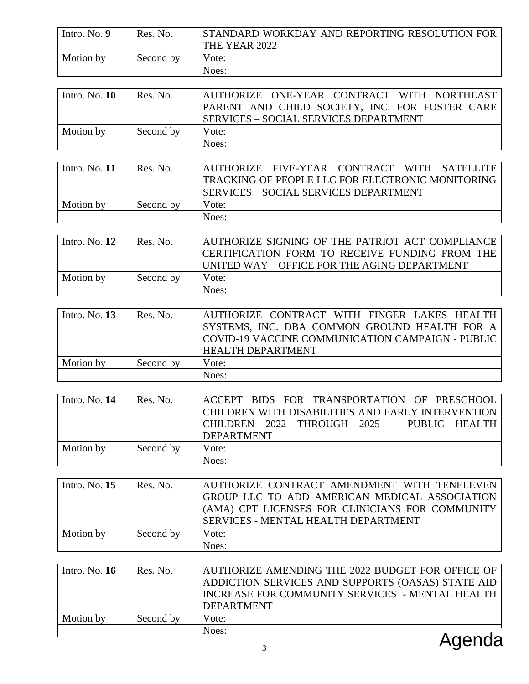| Intro. No. 9  | Res. No.  | STANDARD WORKDAY AND REPORTING RESOLUTION FOR                                                 |
|---------------|-----------|-----------------------------------------------------------------------------------------------|
|               |           | THE YEAR 2022                                                                                 |
| Motion by     | Second by | Vote:                                                                                         |
|               |           | Noes:                                                                                         |
|               |           |                                                                                               |
| Intro. No. 10 | Res. No.  | ONE-YEAR CONTRACT WITH NORTHEAST<br><b>AUTHORIZE</b>                                          |
|               |           | PARENT AND CHILD SOCIETY, INC. FOR FOSTER CARE                                                |
|               |           | <b>SERVICES - SOCIAL SERVICES DEPARTMENT</b>                                                  |
| Motion by     | Second by | Vote:                                                                                         |
|               |           | Noes:                                                                                         |
|               |           |                                                                                               |
| Intro. No. 11 | Res. No.  | <b>FIVE-YEAR</b><br><b>CONTRACT</b><br><b>AUTHORIZE</b><br><b>WITH</b><br><b>SATELLITE</b>    |
|               |           | TRACKING OF PEOPLE LLC FOR ELECTRONIC MONITORING                                              |
|               |           | <b>SERVICES - SOCIAL SERVICES DEPARTMENT</b>                                                  |
| Motion by     | Second by | Vote:                                                                                         |
|               |           | Noes:                                                                                         |
|               |           |                                                                                               |
| Intro. No. 12 | Res. No.  | AUTHORIZE SIGNING OF THE PATRIOT ACT COMPLIANCE                                               |
|               |           | CERTIFICATION FORM TO RECEIVE FUNDING FROM THE                                                |
|               |           | UNITED WAY - OFFICE FOR THE AGING DEPARTMENT                                                  |
| Motion by     | Second by | Vote:                                                                                         |
|               |           | Noes:                                                                                         |
|               |           |                                                                                               |
| Intro. No. 13 | Res. No.  | AUTHORIZE CONTRACT WITH FINGER LAKES HEALTH                                                   |
|               |           | SYSTEMS, INC. DBA COMMON GROUND HEALTH FOR A                                                  |
|               |           | COVID-19 VACCINE COMMUNICATION CAMPAIGN - PUBLIC                                              |
|               |           | <b>HEALTH DEPARTMENT</b>                                                                      |
| Motion by     | Second by | Vote:                                                                                         |
|               |           | Noes:                                                                                         |
|               |           |                                                                                               |
| Intro. No. 14 | Res. No.  | ACCEPT BIDS FOR TRANSPORTATION OF PRESCHOOL                                                   |
|               |           | CHILDREN WITH DISABILITIES AND EARLY INTERVENTION                                             |
|               |           | <b>CHILDREN</b><br>2022<br>THROUGH<br>2025<br><b>PUBLIC</b><br><b>HEALTH</b><br>$\frac{1}{2}$ |
|               |           | <b>DEPARTMENT</b>                                                                             |
| Motion by     | Second by | Vote:                                                                                         |
|               |           | Noes:                                                                                         |
|               |           |                                                                                               |
| Intro. No. 15 | Res. No.  | AUTHORIZE CONTRACT AMENDMENT WITH TENELEVEN                                                   |
|               |           | GROUP LLC TO ADD AMERICAN MEDICAL ASSOCIATION                                                 |
|               |           | (AMA) CPT LICENSES FOR CLINICIANS FOR COMMUNITY                                               |
|               |           | SERVICES - MENTAL HEALTH DEPARTMENT                                                           |
|               |           |                                                                                               |
| Motion by     | Second by | Vote:                                                                                         |
|               |           | Noes:                                                                                         |
|               |           |                                                                                               |
| Intro. No. 16 | Res. No.  | AUTHORIZE AMENDING THE 2022 BUDGET FOR OFFICE OF                                              |
|               |           | ADDICTION SERVICES AND SUPPORTS (OASAS) STATE AID                                             |
|               |           | INCREASE FOR COMMUNITY SERVICES - MENTAL HEALTH                                               |
|               |           | <b>DEPARTMENT</b>                                                                             |
| Motion by     | Second by | Vote:                                                                                         |
|               |           | Noes:                                                                                         |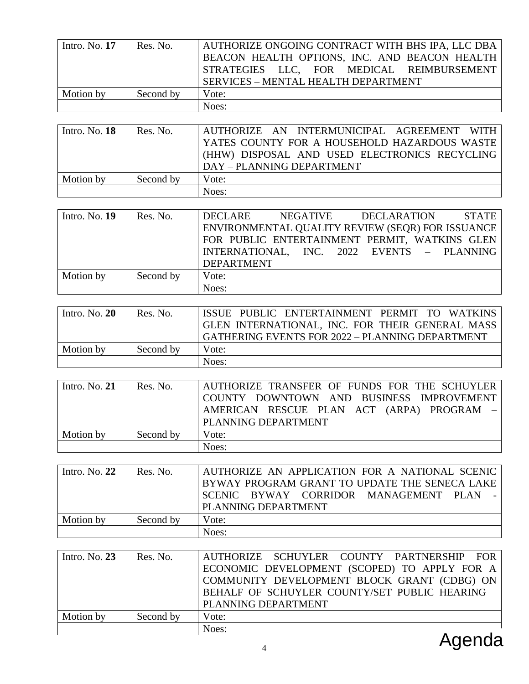| Intro. No. $17$ | Res. No.  | AUTHORIZE ONGOING CONTRACT WITH BHS IPA, LLC DBA<br>BEACON HEALTH OPTIONS, INC. AND BEACON HEALTH<br>STRATEGIES LLC, FOR MEDICAL REIMBURSEMENT<br>SERVICES - MENTAL HEALTH DEPARTMENT |
|-----------------|-----------|---------------------------------------------------------------------------------------------------------------------------------------------------------------------------------------|
| Motion by       | Second by | Vote:                                                                                                                                                                                 |
|                 |           | Noes:                                                                                                                                                                                 |

| Intro. No. $18$ | Res. No.  | AUTHORIZE AN INTERMUNICIPAL AGREEMENT WITH    |
|-----------------|-----------|-----------------------------------------------|
|                 |           | YATES COUNTY FOR A HOUSEHOLD HAZARDOUS WASTE  |
|                 |           | (HHW) DISPOSAL AND USED ELECTRONICS RECYCLING |
|                 |           | DAY - PLANNING DEPARTMENT                     |
| Motion by       | Second by | Vote:                                         |
|                 |           | Noes:                                         |

| Intro. No. $19$ | Res. No.  | DECLARE<br>NEGATIVE DECLARATION                  | STATE |
|-----------------|-----------|--------------------------------------------------|-------|
|                 |           | ENVIRONMENTAL QUALITY REVIEW (SEQR) FOR ISSUANCE |       |
|                 |           | FOR PUBLIC ENTERTAINMENT PERMIT, WATKINS GLEN    |       |
|                 |           | INTERNATIONAL, INC. 2022 EVENTS - PLANNING       |       |
|                 |           | <b>DEPARTMENT</b>                                |       |
| Motion by       | Second by | Vote:                                            |       |
|                 |           | Noes:                                            |       |

| Intro. No. $20$ | Res. No.  | ISSUE PUBLIC ENTERTAINMENT PERMIT TO WATKINS<br>GLEN INTERNATIONAL, INC. FOR THEIR GENERAL MASS<br>GATHERING EVENTS FOR 2022 - PLANNING DEPARTMENT |
|-----------------|-----------|----------------------------------------------------------------------------------------------------------------------------------------------------|
| Motion by       | Second by | Vote:                                                                                                                                              |
|                 |           | Noes:                                                                                                                                              |

| Intro. No. $21$ | Res. No.  | AUTHORIZE TRANSFER OF FUNDS FOR THE SCHUYLER<br>COUNTY DOWNTOWN AND BUSINESS IMPROVEMENT<br>AMERICAN RESCUE PLAN ACT (ARPA) PROGRAM -<br>PLANNING DEPARTMENT |
|-----------------|-----------|--------------------------------------------------------------------------------------------------------------------------------------------------------------|
| Motion by       | Second by | Vote:                                                                                                                                                        |
|                 |           | Noes:                                                                                                                                                        |

| Intro. No. $22$ | Res. No.  | AUTHORIZE AN APPLICATION FOR A NATIONAL SCENIC  <br>BYWAY PROGRAM GRANT TO UPDATE THE SENECA LAKE<br>SCENIC BYWAY CORRIDOR MANAGEMENT PLAN<br><b>PLANNING DEPARTMENT</b> |
|-----------------|-----------|--------------------------------------------------------------------------------------------------------------------------------------------------------------------------|
| Motion by       | Second by | Vote:                                                                                                                                                                    |
|                 |           | Noes:                                                                                                                                                                    |

| Intro. No. $23$ | Res. No.  | AUTHORIZE SCHUYLER COUNTY PARTNERSHIP FOR      |
|-----------------|-----------|------------------------------------------------|
|                 |           | ECONOMIC DEVELOPMENT (SCOPED) TO APPLY FOR A   |
|                 |           | COMMUNITY DEVELOPMENT BLOCK GRANT (CDBG) ON    |
|                 |           | BEHALF OF SCHUYLER COUNTY/SET PUBLIC HEARING - |
|                 |           | PLANNING DEPARTMENT                            |
| Motion by       | Second by | Vote:                                          |
|                 |           | Noes:<br><u>A a a a a a</u>                    |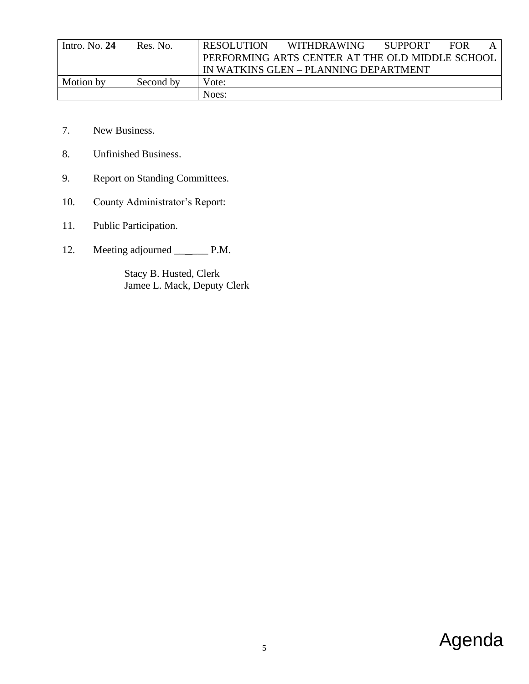| Intro. No. $24$ | Res. No.  | <b>RESOLUTION</b> | WITHDRAWING                                     | <b>SUPPORT</b> | <b>FOR</b> |  |
|-----------------|-----------|-------------------|-------------------------------------------------|----------------|------------|--|
|                 |           |                   | PERFORMING ARTS CENTER AT THE OLD MIDDLE SCHOOL |                |            |  |
|                 |           |                   | IN WATKINS GLEN – PLANNING DEPARTMENT           |                |            |  |
| Motion by       | Second by | Vote:             |                                                 |                |            |  |
|                 |           | Noes:             |                                                 |                |            |  |

- 7. New Business.
- 8. Unfinished Business.
- 9. Report on Standing Committees.
- 10. County Administrator's Report:
- 11. Public Participation.
- 12. Meeting adjourned \_\_\_\_\_\_\_\_\_ P.M.

Stacy B. Husted, Clerk Jamee L. Mack, Deputy Clerk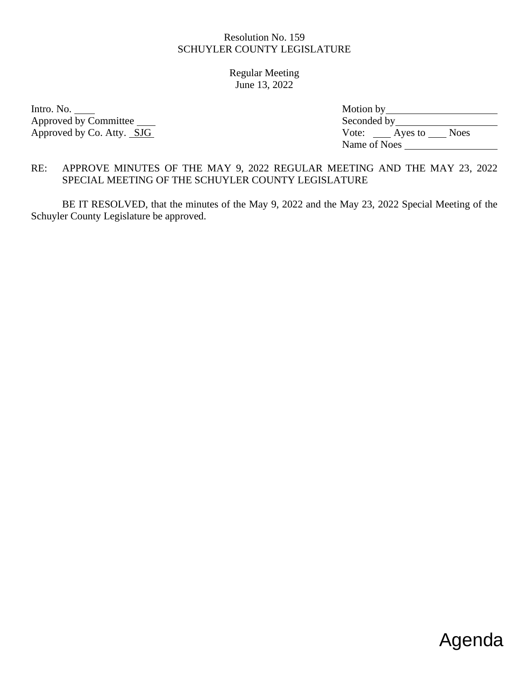Regular Meeting June 13, 2022

Intro. No. Approved by Committee Approved by Co. Atty. SJG

| Motion by    |         |             |
|--------------|---------|-------------|
| Seconded by  |         |             |
| Vote:        | Ayes to | <b>Noes</b> |
| Name of Noes |         |             |

# RE: APPROVE MINUTES OF THE MAY 9, 2022 REGULAR MEETING AND THE MAY 23, 2022 SPECIAL MEETING OF THE SCHUYLER COUNTY LEGISLATURE

BE IT RESOLVED, that the minutes of the May 9, 2022 and the May 23, 2022 Special Meeting of the Schuyler County Legislature be approved.

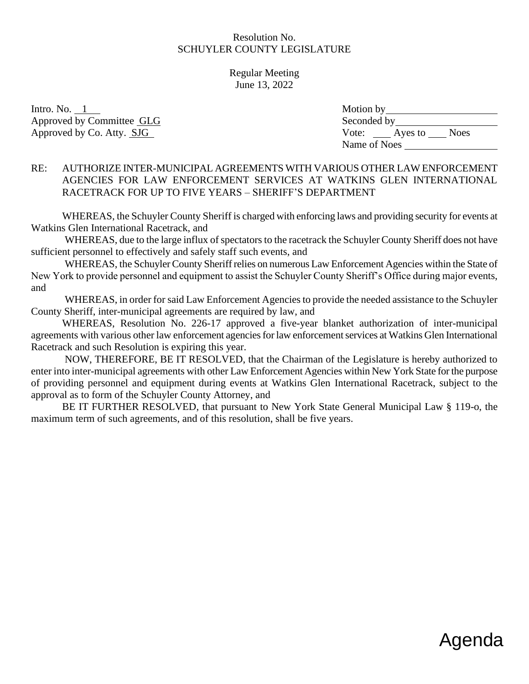Regular Meeting June 13, 2022

Intro. No.  $1$ Approved by Committee GLG Approved by Co. Atty. SJG

| Motion by    |         |             |
|--------------|---------|-------------|
| Seconded by  |         |             |
| Vote:        | Ayes to | <b>Noes</b> |
| Name of Noes |         |             |

### RE: AUTHORIZE INTER-MUNICIPAL AGREEMENTS WITH VARIOUS OTHER LAW ENFORCEMENT AGENCIES FOR LAW ENFORCEMENT SERVICES AT WATKINS GLEN INTERNATIONAL RACETRACK FOR UP TO FIVE YEARS – SHERIFF'S DEPARTMENT

WHEREAS, the Schuyler County Sheriff is charged with enforcing laws and providing security for events at Watkins Glen International Racetrack, and

 WHEREAS, due to the large influx of spectators to the racetrack the Schuyler County Sheriff does not have sufficient personnel to effectively and safely staff such events, and

 WHEREAS, the Schuyler County Sheriff relies on numerous Law Enforcement Agencies within the State of New York to provide personnel and equipment to assist the Schuyler County Sheriff's Office during major events, and

 WHEREAS, in order for said Law Enforcement Agencies to provide the needed assistance to the Schuyler County Sheriff, inter-municipal agreements are required by law, and

 WHEREAS, Resolution No. 226-17 approved a five-year blanket authorization of inter-municipal agreements with various other law enforcement agencies for law enforcement services at Watkins Glen International Racetrack and such Resolution is expiring this year.

 NOW, THEREFORE, BE IT RESOLVED, that the Chairman of the Legislature is hereby authorized to enter into inter-municipal agreements with other Law Enforcement Agencies within New York State for the purpose of providing personnel and equipment during events at Watkins Glen International Racetrack, subject to the approval as to form of the Schuyler County Attorney, and

BE IT FURTHER RESOLVED, that pursuant to New York State General Municipal Law § 119-o, the maximum term of such agreements, and of this resolution, shall be five years.

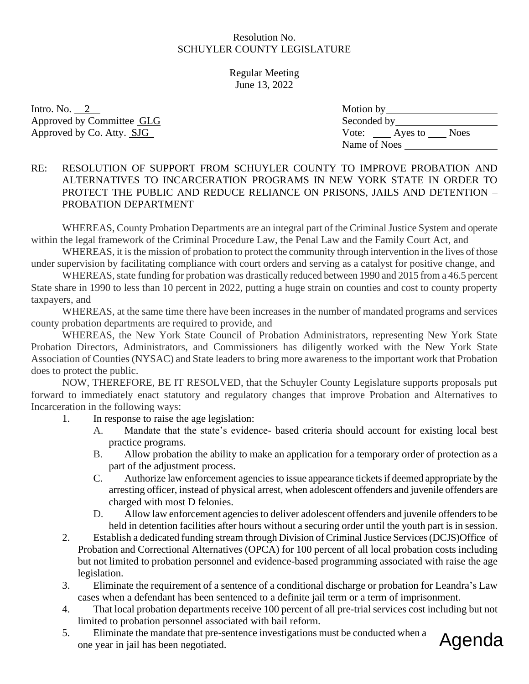Regular Meeting June 13, 2022

Intro. No.  $2$ Approved by Committee GLG Approved by Co. Atty. SJG

| Motion by    |         |             |
|--------------|---------|-------------|
| Seconded by  |         |             |
| Vote:        | Ayes to | <b>Noes</b> |
| Name of Noes |         |             |

# RE: RESOLUTION OF SUPPORT FROM SCHUYLER COUNTY TO IMPROVE PROBATION AND ALTERNATIVES TO INCARCERATION PROGRAMS IN NEW YORK STATE IN ORDER TO PROTECT THE PUBLIC AND REDUCE RELIANCE ON PRISONS, JAILS AND DETENTION – PROBATION DEPARTMENT

WHEREAS, County Probation Departments are an integral part of the Criminal Justice System and operate within the legal framework of the Criminal Procedure Law, the Penal Law and the Family Court Act, and

WHEREAS, it is the mission of probation to protect the community through intervention in the lives of those under supervision by facilitating compliance with court orders and serving as a catalyst for positive change, and

WHEREAS, state funding for probation was drastically reduced between 1990 and 2015 from a 46.5 percent State share in 1990 to less than 10 percent in 2022, putting a huge strain on counties and cost to county property taxpayers, and

WHEREAS, at the same time there have been increases in the number of mandated programs and services county probation departments are required to provide, and

WHEREAS, the New York State Council of Probation Administrators, representing New York State Probation Directors, Administrators, and Commissioners has diligently worked with the New York State Association of Counties (NYSAC) and State leaders to bring more awareness to the important work that Probation does to protect the public.

NOW, THEREFORE, BE IT RESOLVED, that the Schuyler County Legislature supports proposals put forward to immediately enact statutory and regulatory changes that improve Probation and Alternatives to Incarceration in the following ways:

- 1. In response to raise the age legislation:
	- A. Mandate that the state's evidence- based criteria should account for existing local best practice programs.
	- B. Allow probation the ability to make an application for a temporary order of protection as a part of the adjustment process.
	- C. Authorize law enforcement agencies to issue appearance tickets if deemed appropriate by the arresting officer, instead of physical arrest, when adolescent offenders and juvenile offenders are charged with most D felonies.
	- D. Allow law enforcement agencies to deliver adolescent offenders and juvenile offenders to be held in detention facilities after hours without a securing order until the youth part is in session.
- 2. Establish a dedicated funding stream through Division of Criminal Justice Services (DCJS)Office of Probation and Correctional Alternatives (OPCA) for 100 percent of all local probation costs including but not limited to probation personnel and evidence-based programming associated with raise the age legislation.
- 3. Eliminate the requirement of a sentence of a conditional discharge or probation for Leandra's Law cases when a defendant has been sentenced to a definite jail term or a term of imprisonment.
- 4. That local probation departments receive 100 percent of all pre-trial services cost including but not limited to probation personnel associated with bail reform.
- 5. Eliminate the mandate that pre-sentence investigations must be conducted when a one year in jail has been negotiated.

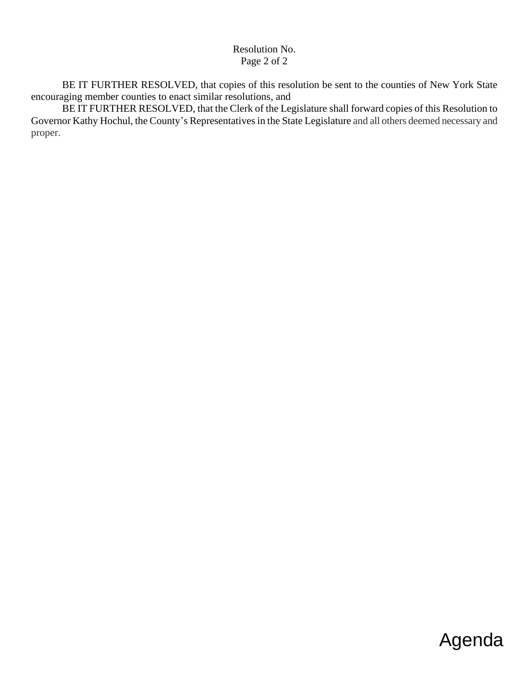#### Resolution No. Page 2 of 2

BE IT FURTHER RESOLVED, that copies of this resolution be sent to the counties of New York State encouraging member counties to enact similar resolutions, and

BE IT FURTHER RESOLVED, that the Clerk of the Legislature shall forward copies of this Resolution to Governor Kathy Hochul, the County's Representatives in the State Legislature and all others deemed necessary and proper.

# Agenda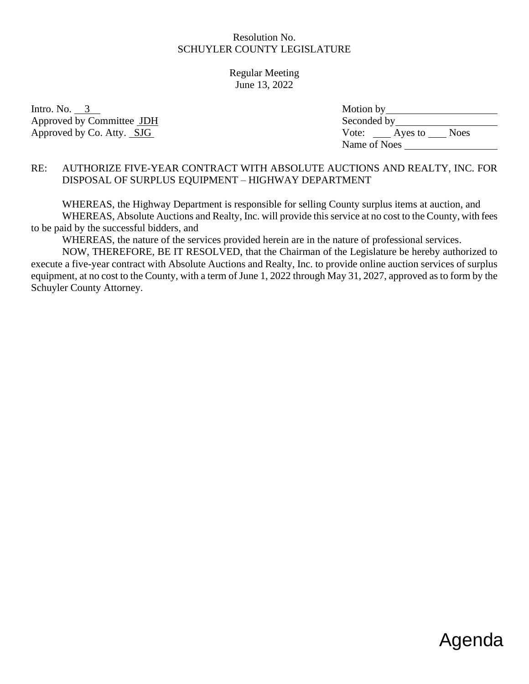Regular Meeting June 13, 2022

Intro. No.  $3$ Approved by Committee JDH Approved by Co. Atty. SJG

| Motion by    |         |             |
|--------------|---------|-------------|
| Seconded by  |         |             |
| Vote:        | Ayes to | <b>Noes</b> |
| Name of Noes |         |             |

# RE: AUTHORIZE FIVE-YEAR CONTRACT WITH ABSOLUTE AUCTIONS AND REALTY, INC. FOR DISPOSAL OF SURPLUS EQUIPMENT – HIGHWAY DEPARTMENT

WHEREAS, the Highway Department is responsible for selling County surplus items at auction, and WHEREAS, Absolute Auctions and Realty, Inc. will provide this service at no cost to the County, with fees to be paid by the successful bidders, and

WHEREAS, the nature of the services provided herein are in the nature of professional services.

NOW, THEREFORE, BE IT RESOLVED, that the Chairman of the Legislature be hereby authorized to execute a five-year contract with Absolute Auctions and Realty, Inc. to provide online auction services of surplus equipment, at no cost to the County, with a term of June 1, 2022 through May 31, 2027, approved as to form by the Schuyler County Attorney.

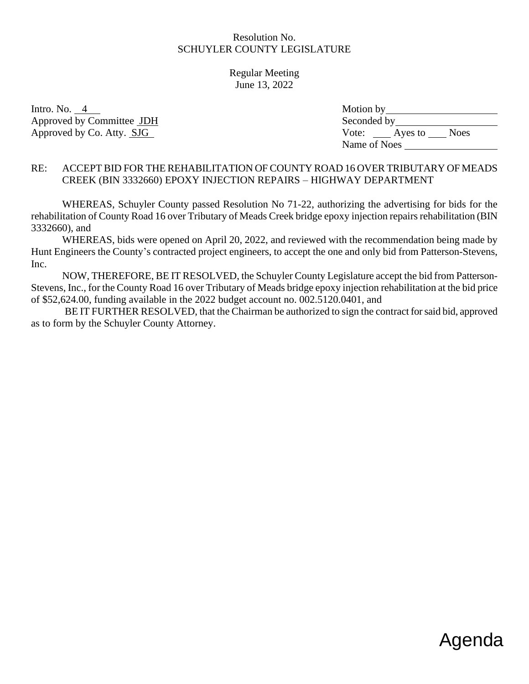Regular Meeting June 13, 2022

Intro. No.  $4$ Approved by Committee JDH Approved by Co. Atty. SJG

| Motion by    |                        |
|--------------|------------------------|
| Seconded by  |                        |
| Vote:        | <b>Noes</b><br>Ayes to |
| Name of Noes |                        |

### RE: ACCEPT BID FOR THE REHABILITATION OF COUNTY ROAD 16 OVER TRIBUTARY OF MEADS CREEK (BIN 3332660) EPOXY INJECTION REPAIRS – HIGHWAY DEPARTMENT

WHEREAS, Schuyler County passed Resolution No 71-22, authorizing the advertising for bids for the rehabilitation of County Road 16 over Tributary of Meads Creek bridge epoxy injection repairs rehabilitation (BIN 3332660), and

WHEREAS, bids were opened on April 20, 2022, and reviewed with the recommendation being made by Hunt Engineers the County's contracted project engineers, to accept the one and only bid from Patterson-Stevens, Inc.

NOW, THEREFORE, BE IT RESOLVED, the Schuyler County Legislature accept the bid from Patterson-Stevens, Inc., for the County Road 16 over Tributary of Meads bridge epoxy injection rehabilitation at the bid price of \$52,624.00, funding available in the 2022 budget account no. 002.5120.0401, and

BE IT FURTHER RESOLVED, that the Chairman be authorized to sign the contract for said bid, approved as to form by the Schuyler County Attorney.

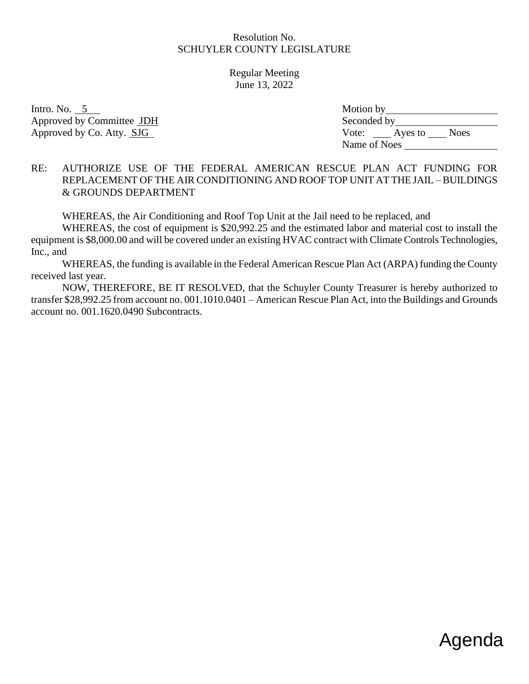Regular Meeting June 13, 2022

Intro. No.  $5$ Approved by Committee JDH Approved by Co. Atty. SJG

| Motion by        |             |
|------------------|-------------|
| Seconded by      |             |
| Vote:<br>Ayes to | <b>Noes</b> |
| Name of Noes     |             |

#### RE: AUTHORIZE USE OF THE FEDERAL AMERICAN RESCUE PLAN ACT FUNDING FOR REPLACEMENT OF THE AIR CONDITIONING AND ROOF TOP UNIT AT THE JAIL – BUILDINGS & GROUNDS DEPARTMENT

WHEREAS, the Air Conditioning and Roof Top Unit at the Jail need to be replaced, and

WHEREAS, the cost of equipment is \$20,992.25 and the estimated labor and material cost to install the equipment is \$8,000.00 and will be covered under an existing HVAC contract with Climate Controls Technologies, Inc., and

WHEREAS, the funding is available in the Federal American Rescue Plan Act (ARPA) funding the County received last year.

NOW, THEREFORE, BE IT RESOLVED, that the Schuyler County Treasurer is hereby authorized to transfer \$28,992.25 from account no. 001.1010.0401 – American Rescue Plan Act, into the Buildings and Grounds account no. 001.1620.0490 Subcontracts.

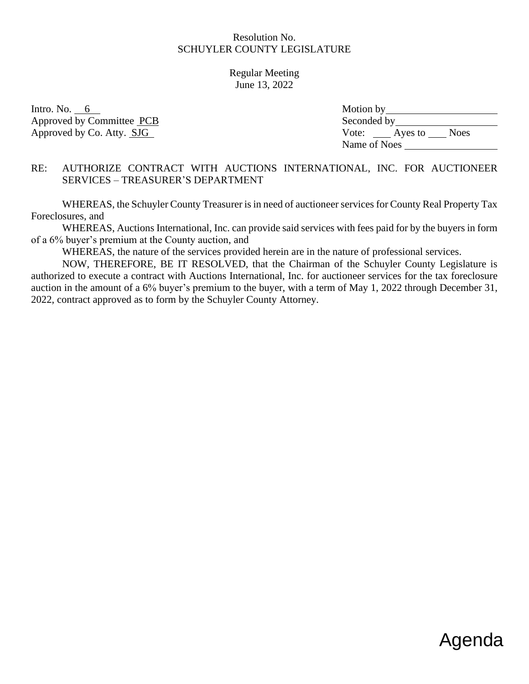Regular Meeting June 13, 2022

Intro. No.  $6 \quad$ Approved by Committee PCB Approved by Co. Atty. SJG

| Motion by    |         |             |
|--------------|---------|-------------|
| Seconded by  |         |             |
| Vote:        | Ayes to | <b>Noes</b> |
| Name of Noes |         |             |

#### RE: AUTHORIZE CONTRACT WITH AUCTIONS INTERNATIONAL, INC. FOR AUCTIONEER SERVICES – TREASURER'S DEPARTMENT

WHEREAS, the Schuyler County Treasurer is in need of auctioneer services for County Real Property Tax Foreclosures, and

WHEREAS, Auctions International, Inc. can provide said services with fees paid for by the buyers in form of a 6% buyer's premium at the County auction, and

WHEREAS, the nature of the services provided herein are in the nature of professional services.

NOW, THEREFORE, BE IT RESOLVED, that the Chairman of the Schuyler County Legislature is authorized to execute a contract with Auctions International, Inc. for auctioneer services for the tax foreclosure auction in the amount of a 6% buyer's premium to the buyer, with a term of May 1, 2022 through December 31, 2022, contract approved as to form by the Schuyler County Attorney.

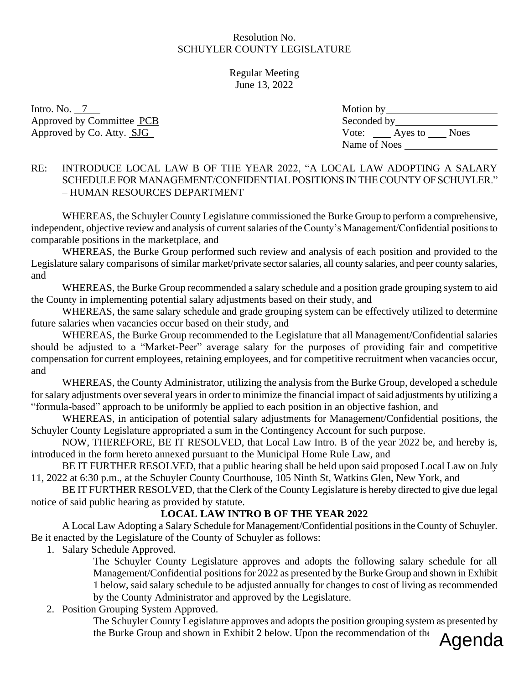Regular Meeting June 13, 2022

Intro. No.  $7$ Approved by Committee PCB Approved by Co. Atty. SJG

| Motion by    |         |             |
|--------------|---------|-------------|
| Seconded by  |         |             |
| Vote:        | Ayes to | <b>Noes</b> |
| Name of Noes |         |             |

### RE: INTRODUCE LOCAL LAW B OF THE YEAR 2022, "A LOCAL LAW ADOPTING A SALARY SCHEDULE FOR MANAGEMENT/CONFIDENTIAL POSITIONS IN THE COUNTY OF SCHUYLER." – HUMAN RESOURCES DEPARTMENT

WHEREAS, the Schuyler County Legislature commissioned the Burke Group to perform a comprehensive, independent, objective review and analysis of current salaries of the County's Management/Confidential positions to comparable positions in the marketplace, and

WHEREAS, the Burke Group performed such review and analysis of each position and provided to the Legislature salary comparisons of similar market/private sector salaries, all county salaries, and peer county salaries, and

WHEREAS, the Burke Group recommended a salary schedule and a position grade grouping system to aid the County in implementing potential salary adjustments based on their study, and

WHEREAS, the same salary schedule and grade grouping system can be effectively utilized to determine future salaries when vacancies occur based on their study, and

WHEREAS, the Burke Group recommended to the Legislature that all Management/Confidential salaries should be adjusted to a "Market-Peer" average salary for the purposes of providing fair and competitive compensation for current employees, retaining employees, and for competitive recruitment when vacancies occur, and

WHEREAS, the County Administrator, utilizing the analysis from the Burke Group, developed a schedule for salary adjustments over several years in order to minimize the financial impact of said adjustments by utilizing a "formula-based" approach to be uniformly be applied to each position in an objective fashion, and

WHEREAS, in anticipation of potential salary adjustments for Management/Confidential positions, the Schuyler County Legislature appropriated a sum in the Contingency Account for such purpose.

NOW, THEREFORE, BE IT RESOLVED, that Local Law Intro. B of the year 2022 be, and hereby is, introduced in the form hereto annexed pursuant to the Municipal Home Rule Law, and

BE IT FURTHER RESOLVED, that a public hearing shall be held upon said proposed Local Law on July 11, 2022 at 6:30 p.m., at the Schuyler County Courthouse, 105 Ninth St, Watkins Glen, New York, and

BE IT FURTHER RESOLVED, that the Clerk of the County Legislature is hereby directed to give due legal notice of said public hearing as provided by statute.

# **LOCAL LAW INTRO B OF THE YEAR 2022**

A Local Law Adopting a Salary Schedule for Management/Confidential positions in the County of Schuyler. Be it enacted by the Legislature of the County of Schuyler as follows:

1. Salary Schedule Approved.

The Schuyler County Legislature approves and adopts the following salary schedule for all Management/Confidential positions for 2022 as presented by the Burke Group and shown in Exhibit 1 below, said salary schedule to be adjusted annually for changes to cost of living as recommended by the County Administrator and approved by the Legislature.

# 2. Position Grouping System Approved.

The Schuyler County Legislature approves and adopts the position grouping system as presented by the Burke Group and shown in Exhibit 2 below. Upon the recommendation of the

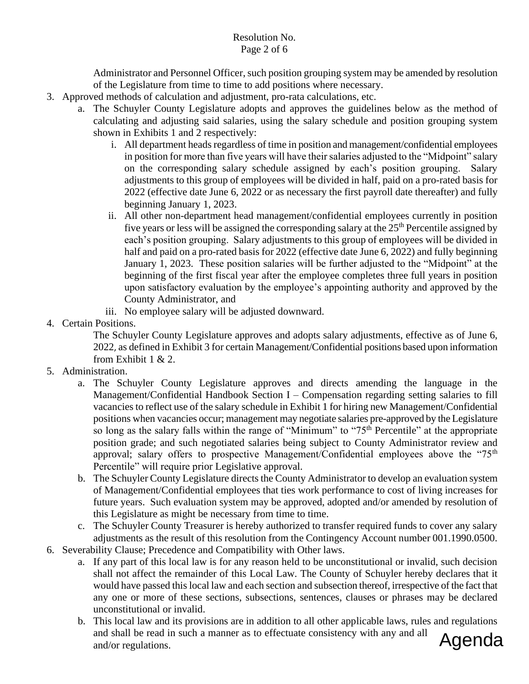### Resolution No. Page 2 of 6

Administrator and Personnel Officer, such position grouping system may be amended by resolution of the Legislature from time to time to add positions where necessary.

- 3. Approved methods of calculation and adjustment, pro-rata calculations, etc.
	- a. The Schuyler County Legislature adopts and approves the guidelines below as the method of calculating and adjusting said salaries, using the salary schedule and position grouping system shown in Exhibits 1 and 2 respectively:
		- i. All department heads regardless of time in position and management/confidential employees in position for more than five years will have their salaries adjusted to the "Midpoint" salary on the corresponding salary schedule assigned by each's position grouping. Salary adjustments to this group of employees will be divided in half, paid on a pro-rated basis for 2022 (effective date June 6, 2022 or as necessary the first payroll date thereafter) and fully beginning January 1, 2023.
		- ii. All other non-department head management/confidential employees currently in position five years or less will be assigned the corresponding salary at the  $25<sup>th</sup>$  Percentile assigned by each's position grouping. Salary adjustments to this group of employees will be divided in half and paid on a pro-rated basis for 2022 (effective date June 6, 2022) and fully beginning January 1, 2023. These position salaries will be further adjusted to the "Midpoint" at the beginning of the first fiscal year after the employee completes three full years in position upon satisfactory evaluation by the employee's appointing authority and approved by the County Administrator, and
		- iii. No employee salary will be adjusted downward.
- 4. Certain Positions.

The Schuyler County Legislature approves and adopts salary adjustments, effective as of June 6, 2022, as defined in Exhibit 3 for certain Management/Confidential positions based upon information from Exhibit 1 & 2.

- 5. Administration.
	- a. The Schuyler County Legislature approves and directs amending the language in the Management/Confidential Handbook Section I – Compensation regarding setting salaries to fill vacancies to reflect use of the salary schedule in Exhibit 1 for hiring new Management/Confidential positions when vacancies occur; management may negotiate salaries pre-approved by the Legislature so long as the salary falls within the range of "Minimum" to "75<sup>th</sup> Percentile" at the appropriate position grade; and such negotiated salaries being subject to County Administrator review and approval; salary offers to prospective Management/Confidential employees above the " $75<sup>th</sup>$ Percentile" will require prior Legislative approval.
	- b. The Schuyler County Legislature directs the County Administrator to develop an evaluation system of Management/Confidential employees that ties work performance to cost of living increases for future years. Such evaluation system may be approved, adopted and/or amended by resolution of this Legislature as might be necessary from time to time.
	- c. The Schuyler County Treasurer is hereby authorized to transfer required funds to cover any salary adjustments as the result of this resolution from the Contingency Account number 001.1990.0500.
- 6. Severability Clause; Precedence and Compatibility with Other laws.
	- a. If any part of this local law is for any reason held to be unconstitutional or invalid, such decision shall not affect the remainder of this Local Law. The County of Schuyler hereby declares that it would have passed this local law and each section and subsection thereof, irrespective of the fact that any one or more of these sections, subsections, sentences, clauses or phrases may be declared unconstitutional or invalid.
	- b. This local law and its provisions are in addition to all other applicable laws, rules and regulations and shall be read in such a manner as to effectuate consistency with any and all and/or regulations. Agenda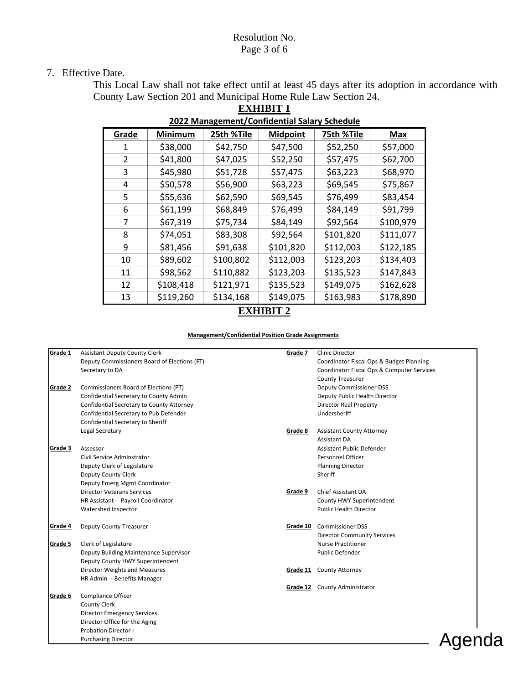#### Resolution No. Page 3 of 6

#### 7. Effective Date.

This Local Law shall not take effect until at least 45 days after its adoption in accordance with County Law Section 201 and Municipal Home Rule Law Section 24. **EXHIBIT 1**

| <b>EVER Management</b> connaential saidily sencadic |           |            |                 |            |           |  |  |  |
|-----------------------------------------------------|-----------|------------|-----------------|------------|-----------|--|--|--|
| Grade                                               | Minimum   | 25th %Tile | <b>Midpoint</b> | 75th %Tile | Max       |  |  |  |
|                                                     | \$38,000  | \$42,750   | \$47,500        | \$52,250   | \$57,000  |  |  |  |
| $\mathcal{P}$                                       | \$41,800  | \$47,025   | \$52,250        | \$57,475   | \$62,700  |  |  |  |
| 3                                                   | \$45,980  | \$51,728   | \$57,475        | \$63,223   | \$68,970  |  |  |  |
| 4                                                   | \$50,578  | \$56,900   | \$63,223        | \$69,545   | \$75,867  |  |  |  |
| 5                                                   | \$55,636  | \$62,590   | \$69,545        | \$76,499   | \$83,454  |  |  |  |
| 6                                                   | \$61,199  | \$68,849   | \$76,499        | \$84,149   | \$91,799  |  |  |  |
| 7                                                   | \$67,319  | \$75,734   | \$84,149        | \$92,564   | \$100,979 |  |  |  |
| 8                                                   | \$74,051  | \$83,308   | \$92,564        | \$101,820  | \$111,077 |  |  |  |
| 9                                                   | \$81,456  | \$91,638   | \$101,820       | \$112,003  | \$122,185 |  |  |  |
| 10                                                  | \$89,602  | \$100,802  | \$112,003       | \$123,203  | \$134,403 |  |  |  |
| 11                                                  | \$98,562  | \$110,882  | \$123,203       | \$135,523  | \$147,843 |  |  |  |
| 12                                                  | \$108,418 | \$121,971  | \$135,523       | \$149,075  | \$162,628 |  |  |  |
| 13                                                  | \$119,260 | \$134,168  | \$149,075       | \$163,983  | \$178,890 |  |  |  |

#### **2022 Management/Confidential Salary Schedule**

# **EXHIBIT 2**

#### **Management/Confidential Position Grade Assignments**

| Grade 1        | <b>Assistant Deputy County Clerk</b>         | Grade 7  | <b>Clinic Director</b>                     |
|----------------|----------------------------------------------|----------|--------------------------------------------|
|                | Deputy Commissioners Board of Elections (FT) |          | Coordinator Fiscal Ops & Budget Planning   |
|                | Secretary to DA                              |          | Coordinator Fiscal Ops & Computer Services |
|                |                                              |          | <b>County Treasurer</b>                    |
| Grade 2        | Commissioners Board of Elections (PT)        |          | <b>Deputy Commissioner DSS</b>             |
|                | Confidential Secretary to County Admin       |          | Deputy Public Health Director              |
|                | Confidential Secretary to County Attorney    |          | <b>Director Real Property</b>              |
|                | Confidential Secretary to Pub Defender       |          | Undersheriff                               |
|                | Confidential Secretary to Sheriff            |          |                                            |
|                | Legal Secretary                              | Grade 8  | <b>Assistant County Attorney</b>           |
|                |                                              |          | Assistant DA                               |
| Grade 3        | Assessor                                     |          | Assistant Public Defender                  |
|                | Civil Service Adminstrator                   |          | Personnel Officer                          |
|                | Deputy Clerk of Legislature                  |          | <b>Planning Director</b>                   |
|                | Deputy County Clerk                          |          | Sheriff                                    |
|                | Deputy Emerg Mgmt Coordinator                |          |                                            |
|                | <b>Director Veterans Services</b>            | Grade 9  | <b>Chief Assistant DA</b>                  |
|                | HR Assistant -- Payroll Coordinator          |          | County HWY Superintendent                  |
|                | Watershed Inspector                          |          | <b>Public Health Director</b>              |
| <b>Grade 4</b> | Deputy County Treasurer                      | Grade 10 | <b>Commissioner DSS</b>                    |
|                |                                              |          | <b>Director Community Services</b>         |
| Grade 5        | Clerk of Legislature                         |          | <b>Nurse Practitioner</b>                  |
|                | Deputy Building Maintenance Supervisor       |          | <b>Public Defender</b>                     |
|                | Deputy County HWY Superintendent             |          |                                            |
|                | Director Weights and Measures                | Grade 11 | <b>County Attorney</b>                     |
|                | HR Admin -- Benefits Manager                 |          |                                            |
|                |                                              |          | Grade 12 County Administrator              |
| Grade 6        | Compliance Officer                           |          |                                            |
|                | County Clerk                                 |          |                                            |
|                | <b>Director Emergency Services</b>           |          |                                            |
|                | Director Office for the Aging                |          |                                            |
|                | <b>Probation Director I</b>                  |          |                                            |
|                | <b>Purchasing Director</b>                   |          |                                            |

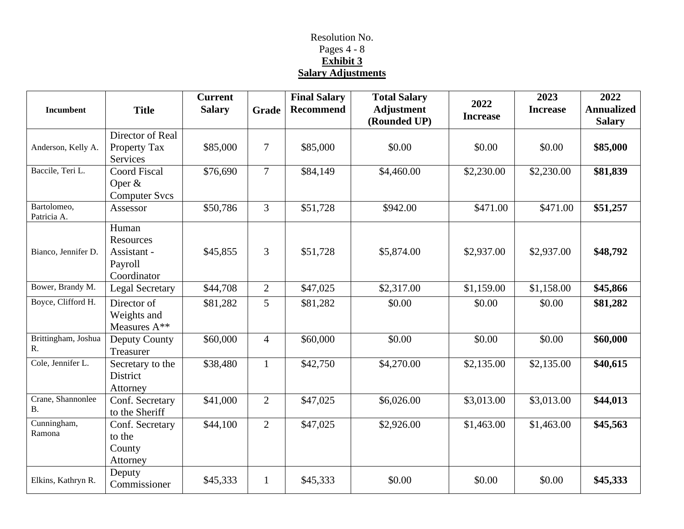# Resolution No. Pages 4 - 8 **Exhibit 3 Salary Adjustments**

| <b>Incumbent</b>               | <b>Title</b>                                                | <b>Current</b><br><b>Salary</b> | Grade          | <b>Final Salary</b><br><b>Recommend</b> | <b>Total Salary</b><br><b>Adjustment</b><br>(Rounded UP) | 2022<br><b>Increase</b> | 2023<br><b>Increase</b> | 2022<br><b>Annualized</b><br><b>Salary</b> |
|--------------------------------|-------------------------------------------------------------|---------------------------------|----------------|-----------------------------------------|----------------------------------------------------------|-------------------------|-------------------------|--------------------------------------------|
|                                | Director of Real                                            |                                 |                |                                         |                                                          |                         |                         |                                            |
| Anderson, Kelly A.             | Property Tax<br>Services                                    | \$85,000                        | $\overline{7}$ | \$85,000                                | \$0.00                                                   | \$0.00                  | \$0.00                  | \$85,000                                   |
| Baccile, Teri L.               | <b>Coord Fiscal</b><br>Oper $&$<br><b>Computer Svcs</b>     | \$76,690                        | $\overline{7}$ | \$84,149                                | \$4,460.00                                               | \$2,230.00              | \$2,230.00              | \$81,839                                   |
| Bartolomeo,<br>Patricia A.     | Assessor                                                    | \$50,786                        | 3              | \$51,728                                | \$942.00                                                 | \$471.00                | \$471.00                | \$51,257                                   |
| Bianco, Jennifer D.            | Human<br>Resources<br>Assistant -<br>Payroll<br>Coordinator | \$45,855                        | $\overline{3}$ | \$51,728                                | \$5,874.00                                               | \$2,937.00              | \$2,937.00              | \$48,792                                   |
| Bower, Brandy M.               | <b>Legal Secretary</b>                                      | \$44,708                        | $\overline{2}$ | \$47,025                                | \$2,317.00                                               | \$1,159.00              | \$1,158.00              | \$45,866                                   |
| Boyce, Clifford H.             | Director of<br>Weights and<br>Measures A**                  | \$81,282                        | 5              | \$81,282                                | \$0.00                                                   | \$0.00                  | \$0.00                  | \$81,282                                   |
| Brittingham, Joshua<br>R.      | Deputy County<br>Treasurer                                  | \$60,000                        | $\overline{4}$ | \$60,000                                | \$0.00                                                   | \$0.00                  | \$0.00                  | \$60,000                                   |
| Cole, Jennifer L.              | Secretary to the<br>District<br>Attorney                    | \$38,480                        | $\mathbf{1}$   | \$42,750                                | \$4,270.00                                               | \$2,135.00              | \$2,135.00              | \$40,615                                   |
| Crane, Shannonlee<br><b>B.</b> | Conf. Secretary<br>to the Sheriff                           | \$41,000                        | $\overline{2}$ | \$47,025                                | \$6,026.00                                               | \$3,013.00              | $\overline{$}3,013.00$  | \$44,013                                   |
| Cunningham,<br>Ramona          | Conf. Secretary<br>to the<br>County<br>Attorney             | \$44,100                        | $\overline{2}$ | \$47,025                                | \$2,926.00                                               | \$1,463.00              | \$1,463.00              | \$45,563                                   |
| Elkins, Kathryn R.             | Deputy<br>Commissioner                                      | \$45,333                        | $\mathbf{1}$   | \$45,333                                | \$0.00                                                   | \$0.00                  | \$0.00                  | \$45,333                                   |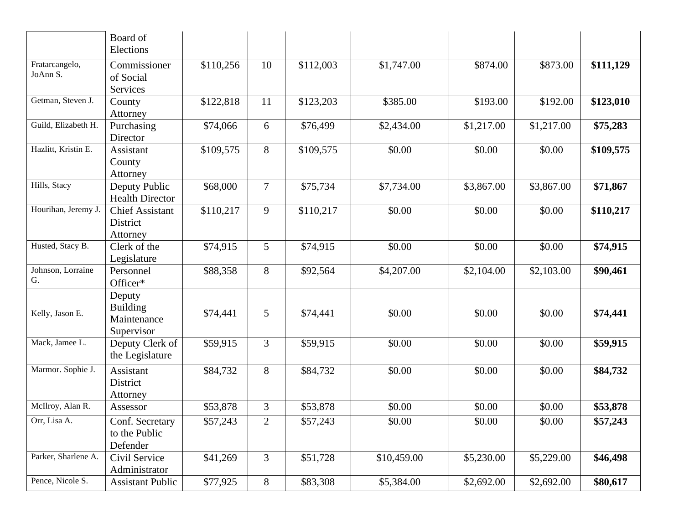|                            | Board of<br>Elections                                  |           |                |           |             |            |            |           |
|----------------------------|--------------------------------------------------------|-----------|----------------|-----------|-------------|------------|------------|-----------|
| Fratarcangelo,<br>JoAnn S. | Commissioner<br>of Social<br>Services                  | \$110,256 | 10             | \$112,003 | \$1,747.00  | \$874.00   | \$873.00   | \$111,129 |
| Getman, Steven J.          | County<br>Attorney                                     | \$122,818 | 11             | \$123,203 | \$385.00    | \$193.00   | \$192.00   | \$123,010 |
| Guild, Elizabeth H.        | Purchasing<br>Director                                 | \$74,066  | 6              | \$76,499  | \$2,434.00  | \$1,217.00 | \$1,217.00 | \$75,283  |
| Hazlitt, Kristin E.        | Assistant<br>County<br>Attorney                        | \$109,575 | 8              | \$109,575 | \$0.00      | \$0.00     | \$0.00     | \$109,575 |
| Hills, Stacy               | Deputy Public<br><b>Health Director</b>                | \$68,000  | $\overline{7}$ | \$75,734  | \$7,734.00  | \$3,867.00 | \$3,867.00 | \$71,867  |
| Hourihan, Jeremy J.        | <b>Chief Assistant</b><br>District<br>Attorney         | \$110,217 | 9              | \$110,217 | \$0.00      | \$0.00     | \$0.00     | \$110,217 |
| Husted, Stacy B.           | Clerk of the<br>Legislature                            | \$74,915  | 5 <sup>5</sup> | \$74,915  | \$0.00      | \$0.00     | \$0.00     | \$74,915  |
| Johnson, Lorraine<br>G.    | Personnel<br>Officer*                                  | \$88,358  | 8              | \$92,564  | \$4,207.00  | \$2,104.00 | \$2,103.00 | \$90,461  |
| Kelly, Jason E.            | Deputy<br><b>Building</b><br>Maintenance<br>Supervisor | \$74,441  | 5              | \$74,441  | \$0.00      | \$0.00     | \$0.00     | \$74,441  |
| Mack, Jamee L.             | Deputy Clerk of<br>the Legislature                     | \$59,915  | 3              | \$59,915  | \$0.00      | \$0.00     | \$0.00     | \$59,915  |
| Marmor. Sophie J.          | Assistant<br>District<br>Attorney                      | \$84,732  | 8              | \$84,732  | \$0.00      | \$0.00     | \$0.00     | \$84,732  |
| McIlroy, Alan R.           | Assessor                                               | \$53,878  | 3              | \$53,878  | \$0.00      | \$0.00     | \$0.00     | \$53,878  |
| Orr, Lisa A.               | Conf. Secretary<br>to the Public<br>Defender           | \$57,243  | 2              | \$57,243  | \$0.00      | \$0.00     | \$0.00     | \$57,243  |
| Parker, Sharlene A.        | Civil Service<br>Administrator                         | \$41,269  | 3              | \$51,728  | \$10,459.00 | \$5,230.00 | \$5,229.00 | \$46,498  |
| Pence, Nicole S.           | <b>Assistant Public</b>                                | \$77,925  | 8              | \$83,308  | \$5,384.00  | \$2,692.00 | \$2,692.00 | \$80,617  |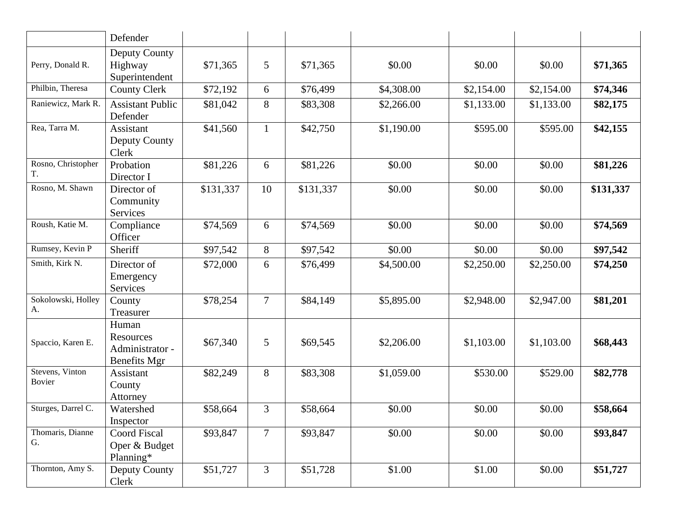|                           | Defender                                                     |           |                |           |            |            |            |           |
|---------------------------|--------------------------------------------------------------|-----------|----------------|-----------|------------|------------|------------|-----------|
| Perry, Donald R.          | Deputy County<br>Highway<br>Superintendent                   | \$71,365  | 5              | \$71,365  | \$0.00     | \$0.00     | \$0.00     | \$71,365  |
| Philbin, Theresa          | <b>County Clerk</b>                                          | \$72,192  | 6              | \$76,499  | \$4,308.00 | \$2,154.00 | \$2,154.00 | \$74,346  |
| Raniewicz, Mark R.        | <b>Assistant Public</b><br>Defender                          | \$81,042  | 8              | \$83,308  | \$2,266.00 | \$1,133.00 | \$1,133.00 | \$82,175  |
| Rea, Tarra M.             | Assistant<br>Deputy County<br>Clerk                          | \$41,560  | $\mathbf{1}$   | \$42,750  | \$1,190.00 | \$595.00   | \$595.00   | \$42,155  |
| Rosno, Christopher<br>T.  | Probation<br>Director I                                      | \$81,226  | 6              | \$81,226  | \$0.00     | \$0.00     | \$0.00     | \$81,226  |
| Rosno, M. Shawn           | Director of<br>Community<br>Services                         | \$131,337 | 10             | \$131,337 | \$0.00     | \$0.00     | \$0.00     | \$131,337 |
| Roush, Katie M.           | Compliance<br>Officer                                        | \$74,569  | 6              | \$74,569  | \$0.00     | \$0.00     | \$0.00     | \$74,569  |
| Rumsey, Kevin P           | Sheriff                                                      | \$97,542  | 8              | \$97,542  | \$0.00     | \$0.00     | \$0.00     | \$97,542  |
| Smith, Kirk N.            | Director of<br>Emergency<br>Services                         | \$72,000  | 6              | \$76,499  | \$4,500.00 | \$2,250.00 | \$2,250.00 | \$74,250  |
| Sokolowski, Holley<br>А.  | County<br>Treasurer                                          | \$78,254  | $\overline{7}$ | \$84,149  | \$5,895.00 | \$2,948.00 | \$2,947.00 | \$81,201  |
| Spaccio, Karen E.         | Human<br>Resources<br>Administrator -<br><b>Benefits Mgr</b> | \$67,340  | 5              | \$69,545  | \$2,206.00 | \$1,103.00 | \$1,103.00 | \$68,443  |
| Stevens, Vinton<br>Bovier | Assistant<br>County<br>Attorney                              | \$82,249  | 8              | \$83,308  | \$1,059.00 | \$530.00   | \$529.00   | \$82,778  |
| Sturges, Darrel C.        | Watershed<br>Inspector                                       | \$58,664  | 3              | \$58,664  | \$0.00     | \$0.00     | \$0.00     | \$58,664  |
| Thomaris, Dianne<br>G.    | <b>Coord Fiscal</b><br>Oper & Budget<br>Planning*            | \$93,847  | $\overline{7}$ | \$93,847  | \$0.00     | \$0.00     | \$0.00     | \$93,847  |
| Thornton, Amy S.          | Deputy County<br>Clerk                                       | \$51,727  | 3              | \$51,728  | \$1.00     | \$1.00     | \$0.00     | \$51,727  |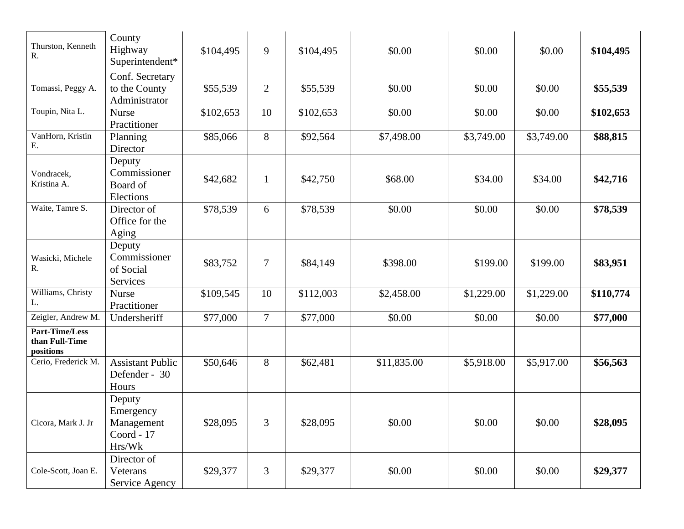| Thurston, Kenneth<br>R.                              | County<br>Highway<br>Superintendent*                      | \$104,495 | 9              | \$104,495 | \$0.00      | \$0.00     | \$0.00     | \$104,495 |
|------------------------------------------------------|-----------------------------------------------------------|-----------|----------------|-----------|-------------|------------|------------|-----------|
| Tomassi, Peggy A.                                    | Conf. Secretary<br>to the County<br>Administrator         | \$55,539  | $\overline{2}$ | \$55,539  | \$0.00      | \$0.00     | \$0.00     | \$55,539  |
| Toupin, Nita L.                                      | <b>Nurse</b><br>Practitioner                              | \$102,653 | 10             | \$102,653 | \$0.00      | \$0.00     | \$0.00     | \$102,653 |
| VanHorn, Kristin<br>Ε.                               | Planning<br>Director                                      | \$85,066  | 8              | \$92,564  | \$7,498.00  | \$3,749.00 | \$3,749.00 | \$88,815  |
| Vondracek,<br>Kristina A.                            | Deputy<br>Commissioner<br>Board of<br>Elections           | \$42,682  | $\mathbf{1}$   | \$42,750  | \$68.00     | \$34.00    | \$34.00    | \$42,716  |
| Waite, Tamre S.                                      | Director of<br>Office for the<br>Aging                    | \$78,539  | 6              | \$78,539  | \$0.00      | \$0.00     | \$0.00     | \$78,539  |
| Wasicki, Michele<br>R.                               | Deputy<br>Commissioner<br>of Social<br>Services           | \$83,752  | $\overline{7}$ | \$84,149  | \$398.00    | \$199.00   | \$199.00   | \$83,951  |
| Williams, Christy<br>L.                              | <b>Nurse</b><br>Practitioner                              | \$109,545 | 10             | \$112,003 | \$2,458.00  | \$1,229.00 | \$1,229.00 | \$110,774 |
| Zeigler, Andrew M.                                   | Undersheriff                                              | \$77,000  | $\overline{7}$ | \$77,000  | \$0.00      | \$0.00     | \$0.00     | \$77,000  |
| <b>Part-Time/Less</b><br>than Full-Time<br>positions |                                                           |           |                |           |             |            |            |           |
| Cerio, Frederick M.                                  | <b>Assistant Public</b><br>Defender - 30<br>Hours         | \$50,646  | 8              | \$62,481  | \$11,835.00 | \$5,918.00 | \$5,917.00 | \$56,563  |
| Cicora, Mark J. Jr                                   | Deputy<br>Emergency<br>Management<br>Coord - 17<br>Hrs/Wk | \$28,095  | $\overline{3}$ | \$28,095  | \$0.00      | \$0.00     | \$0.00     | \$28,095  |
| Cole-Scott, Joan E.                                  | Director of<br>Veterans<br>Service Agency                 | \$29,377  | 3              | \$29,377  | \$0.00      | \$0.00     | \$0.00     | \$29,377  |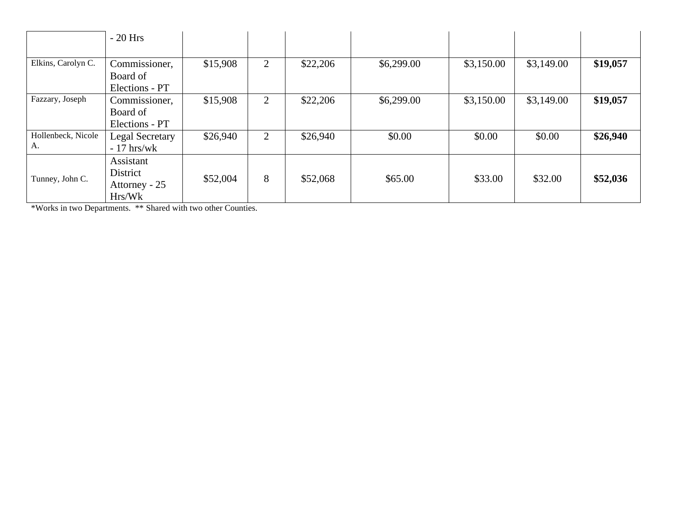|                          | $-20$ Hrs                                        |          |                |          |            |            |            |          |
|--------------------------|--------------------------------------------------|----------|----------------|----------|------------|------------|------------|----------|
| Elkins, Carolyn C.       | Commissioner,                                    | \$15,908 | $\overline{2}$ | \$22,206 | \$6,299.00 | \$3,150.00 | \$3,149.00 | \$19,057 |
|                          | Board of<br>Elections - PT                       |          |                |          |            |            |            |          |
| Fazzary, Joseph          | Commissioner,<br>Board of<br>Elections - PT      | \$15,908 | 2              | \$22,206 | \$6,299.00 | \$3,150.00 | \$3,149.00 | \$19,057 |
| Hollenbeck, Nicole<br>А. | Legal Secretary<br>$-17$ hrs/wk                  | \$26,940 | 2              | \$26,940 | \$0.00     | \$0.00     | \$0.00     | \$26,940 |
| Tunney, John C.          | Assistant<br>District<br>Attorney - 25<br>Hrs/Wk | \$52,004 | 8              | \$52,068 | \$65.00    | \$33.00    | \$32.00    | \$52,036 |

\*Works in two Departments. \*\* Shared with two other Counties.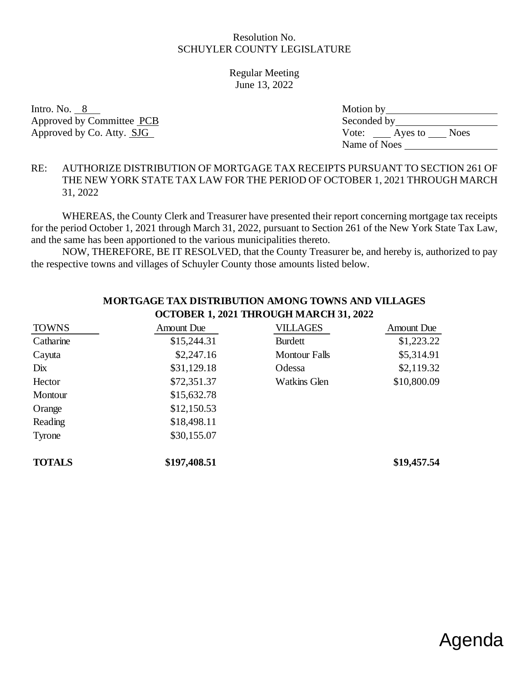Regular Meeting June 13, 2022

Intro. No.  $8$ Approved by Committee PCB Approved by Co. Atty. SJG

| Motion by    |         |             |  |  |  |  |
|--------------|---------|-------------|--|--|--|--|
| Seconded by  |         |             |  |  |  |  |
| Vote:        | Ayes to | <b>Noes</b> |  |  |  |  |
| Name of Noes |         |             |  |  |  |  |

#### RE: AUTHORIZE DISTRIBUTION OF MORTGAGE TAX RECEIPTS PURSUANT TO SECTION 261 OF THE NEW YORK STATE TAX LAW FOR THE PERIOD OF OCTOBER 1, 2021 THROUGH MARCH 31, 2022

WHEREAS, the County Clerk and Treasurer have presented their report concerning mortgage tax receipts for the period October 1, 2021 through March 31, 2022, pursuant to Section 261 of the New York State Tax Law, and the same has been apportioned to the various municipalities thereto.

NOW, THEREFORE, BE IT RESOLVED, that the County Treasurer be, and hereby is, authorized to pay the respective towns and villages of Schuyler County those amounts listed below.

| <b>TOWNS</b>  | <b>Amount Due</b> | <b>VILLAGES</b>      | <b>Amount Due</b> |
|---------------|-------------------|----------------------|-------------------|
| Catharine     | \$15,244.31       | <b>Burdett</b>       | \$1,223.22        |
| Cayuta        | \$2,247.16        | <b>Montour Falls</b> | \$5,314.91        |
| Dix           | \$31,129.18       | Odessa               | \$2,119.32        |
| Hector        | \$72,351.37       | <b>Watkins Glen</b>  | \$10,800.09       |
| Montour       | \$15,632.78       |                      |                   |
| Orange        | \$12,150.53       |                      |                   |
| Reading       | \$18,498.11       |                      |                   |
| Tyrone        | \$30,155.07       |                      |                   |
| <b>TOTALS</b> | \$197,408.51      |                      | \$19,457.54       |

#### **MORTGAGE TAX DISTRIBUTION AMONG TOWNS AND VILLAGES OCTOBER 1, 2021 THROUGH MARCH 31, 2022**

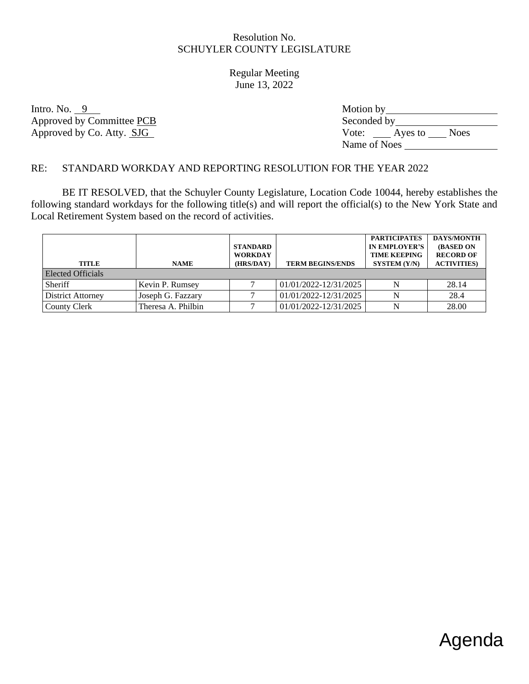Regular Meeting June 13, 2022

Intro. No.  $9$ Approved by Committee PCB Approved by Co. Atty. SJG

| Motion by    |         |             |  |  |  |  |
|--------------|---------|-------------|--|--|--|--|
| Seconded by  |         |             |  |  |  |  |
| Vote:        | Ayes to | <b>Noes</b> |  |  |  |  |
| Name of Noes |         |             |  |  |  |  |

# RE: STANDARD WORKDAY AND REPORTING RESOLUTION FOR THE YEAR 2022

BE IT RESOLVED, that the Schuyler County Legislature, Location Code 10044, hereby establishes the following standard workdays for the following title(s) and will report the official(s) to the New York State and Local Retirement System based on the record of activities.

|                          |                    | <b>STANDARD</b><br><b>WORKDAY</b> |                         | <b>PARTICIPATES</b><br><b>IN EMPLOYER'S</b><br><b>TIME KEEPING</b> | <b>DAYS/MONTH</b><br><b>(BASED ON</b><br><b>RECORD OF</b> |
|--------------------------|--------------------|-----------------------------------|-------------------------|--------------------------------------------------------------------|-----------------------------------------------------------|
| <b>TITLE</b>             | <b>NAME</b>        | (HRS/DAY)                         | <b>TERM BEGINS/ENDS</b> | SYSTEM (Y/N)                                                       | <b>ACTIVITIES</b> )                                       |
| Elected Officials        |                    |                                   |                         |                                                                    |                                                           |
| Sheriff                  | Kevin P. Rumsey    |                                   | 01/01/2022-12/31/2025   | N                                                                  | 28.14                                                     |
| <b>District Attorney</b> | Joseph G. Fazzary  |                                   | 01/01/2022-12/31/2025   | N                                                                  | 28.4                                                      |
| <b>County Clerk</b>      | Theresa A. Philbin |                                   | 01/01/2022-12/31/2025   | N                                                                  | 28.00                                                     |

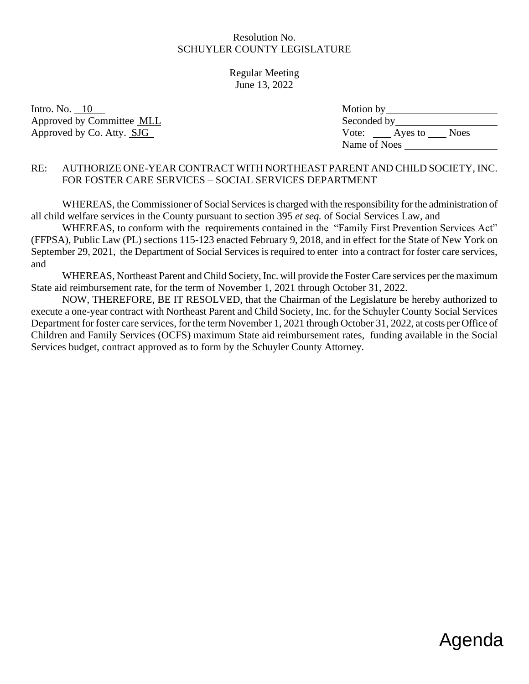Regular Meeting June 13, 2022

Intro. No.  $10$ Approved by Committee MLL Approved by Co. Atty. SJG

| Motion by    |         |             |
|--------------|---------|-------------|
| Seconded by  |         |             |
| Vote:        | Ayes to | <b>Noes</b> |
| Name of Noes |         |             |

# RE: AUTHORIZE ONE-YEAR CONTRACT WITH NORTHEAST PARENT AND CHILD SOCIETY, INC. FOR FOSTER CARE SERVICES – SOCIAL SERVICES DEPARTMENT

WHEREAS, the Commissioner of Social Services is charged with the responsibility for the administration of all child welfare services in the County pursuant to section 395 *et seq.* of Social Services Law, and

WHEREAS, to conform with the requirements contained in the "Family First Prevention Services Act" (FFPSA), Public Law (PL) sections 115-123 enacted February 9, 2018, and in effect for the State of New York on September 29, 2021, the Department of Social Services is required to enter into a contract for foster care services, and

WHEREAS, Northeast Parent and Child Society, Inc. will provide the Foster Care services per the maximum State aid reimbursement rate, for the term of November 1, 2021 through October 31, 2022.

NOW, THEREFORE, BE IT RESOLVED, that the Chairman of the Legislature be hereby authorized to execute a one-year contract with Northeast Parent and Child Society, Inc. for the Schuyler County Social Services Department for foster care services, for the term November 1, 2021 through October 31, 2022, at costs per Office of Children and Family Services (OCFS) maximum State aid reimbursement rates, funding available in the Social Services budget, contract approved as to form by the Schuyler County Attorney.

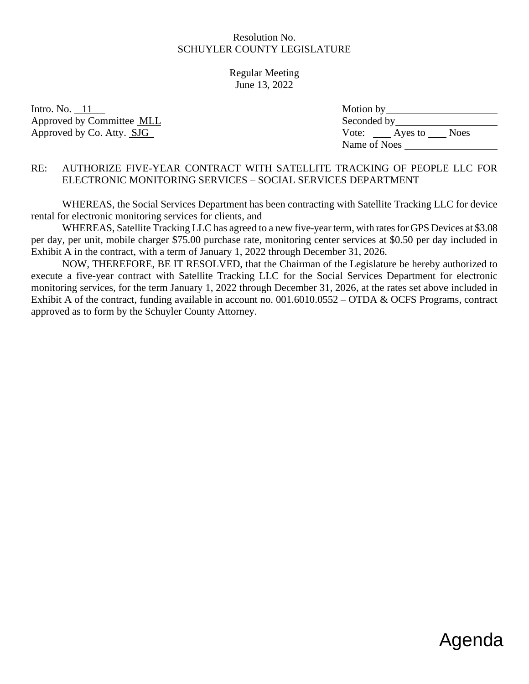Regular Meeting June 13, 2022

Intro. No.  $11$ Approved by Committee MLL Approved by Co. Atty. SJG

| Motion by    |         |             |
|--------------|---------|-------------|
| Seconded by  |         |             |
| Vote:        | Ayes to | <b>Noes</b> |
| Name of Noes |         |             |

#### RE: AUTHORIZE FIVE-YEAR CONTRACT WITH SATELLITE TRACKING OF PEOPLE LLC FOR ELECTRONIC MONITORING SERVICES – SOCIAL SERVICES DEPARTMENT

WHEREAS, the Social Services Department has been contracting with Satellite Tracking LLC for device rental for electronic monitoring services for clients, and

WHEREAS, Satellite Tracking LLC has agreed to a new five-year term, with rates for GPS Devices at \$3.08 per day, per unit, mobile charger \$75.00 purchase rate, monitoring center services at \$0.50 per day included in Exhibit A in the contract, with a term of January 1, 2022 through December 31, 2026.

NOW, THEREFORE, BE IT RESOLVED, that the Chairman of the Legislature be hereby authorized to execute a five-year contract with Satellite Tracking LLC for the Social Services Department for electronic monitoring services, for the term January 1, 2022 through December 31, 2026, at the rates set above included in Exhibit A of the contract, funding available in account no. 001.6010.0552 – OTDA & OCFS Programs, contract approved as to form by the Schuyler County Attorney.

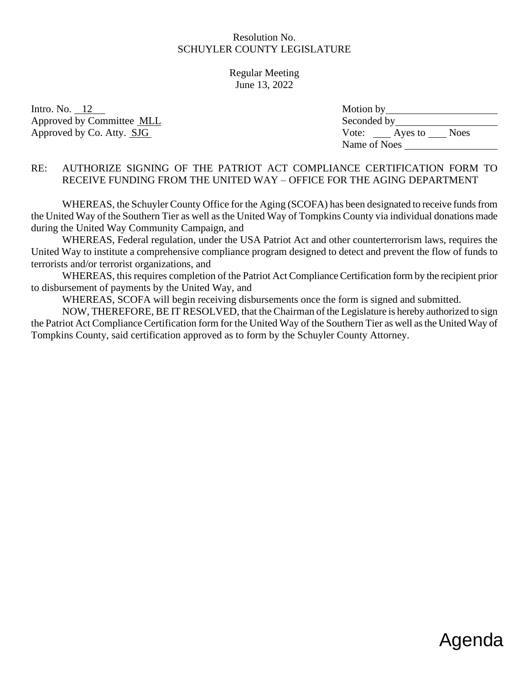Regular Meeting June 13, 2022

Intro. No.  $12$ Approved by Committee MLL Approved by Co. Atty. SJG

| Motion by    |         |             |
|--------------|---------|-------------|
| Seconded by  |         |             |
| Vote:        | Ayes to | <b>Noes</b> |
| Name of Noes |         |             |

### RE: AUTHORIZE SIGNING OF THE PATRIOT ACT COMPLIANCE CERTIFICATION FORM TO RECEIVE FUNDING FROM THE UNITED WAY – OFFICE FOR THE AGING DEPARTMENT

WHEREAS, the Schuyler County Office for the Aging (SCOFA) has been designated to receive funds from the United Way of the Southern Tier as well as the United Way of Tompkins County via individual donations made during the United Way Community Campaign, and

WHEREAS, Federal regulation, under the USA Patriot Act and other counterterrorism laws, requires the United Way to institute a comprehensive compliance program designed to detect and prevent the flow of funds to terrorists and/or terrorist organizations, and

 WHEREAS, this requires completion of the Patriot Act Compliance Certification form by the recipient prior to disbursement of payments by the United Way, and

WHEREAS, SCOFA will begin receiving disbursements once the form is signed and submitted.

 NOW, THEREFORE, BE IT RESOLVED, that the Chairman of the Legislature is hereby authorized to sign the Patriot Act Compliance Certification form for the United Way of the Southern Tier as well as the United Way of Tompkins County, said certification approved as to form by the Schuyler County Attorney.

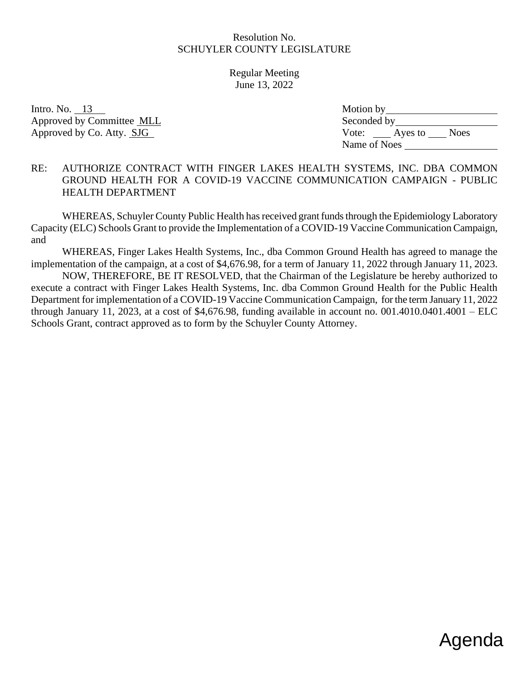Regular Meeting June 13, 2022

Intro. No.  $13$ Approved by Committee MLL Approved by Co. Atty. SJG

| Motion by    |         |             |
|--------------|---------|-------------|
| Seconded by  |         |             |
| Vote:        | Ayes to | <b>Noes</b> |
| Name of Noes |         |             |

#### RE: AUTHORIZE CONTRACT WITH FINGER LAKES HEALTH SYSTEMS, INC. DBA COMMON GROUND HEALTH FOR A COVID-19 VACCINE COMMUNICATION CAMPAIGN - PUBLIC HEALTH DEPARTMENT

WHEREAS, Schuyler County Public Health has received grant funds through the Epidemiology Laboratory Capacity (ELC) Schools Grant to provide the Implementation of a COVID-19 Vaccine Communication Campaign, and

WHEREAS, Finger Lakes Health Systems, Inc., dba Common Ground Health has agreed to manage the implementation of the campaign, at a cost of \$4,676.98, for a term of January 11, 2022 through January 11, 2023.

NOW, THEREFORE, BE IT RESOLVED, that the Chairman of the Legislature be hereby authorized to execute a contract with Finger Lakes Health Systems, Inc. dba Common Ground Health for the Public Health Department for implementation of a COVID-19 Vaccine Communication Campaign, for the term January 11, 2022 through January 11, 2023, at a cost of \$4,676.98, funding available in account no.  $001.4010.0401.4001 - ELC$ Schools Grant, contract approved as to form by the Schuyler County Attorney.

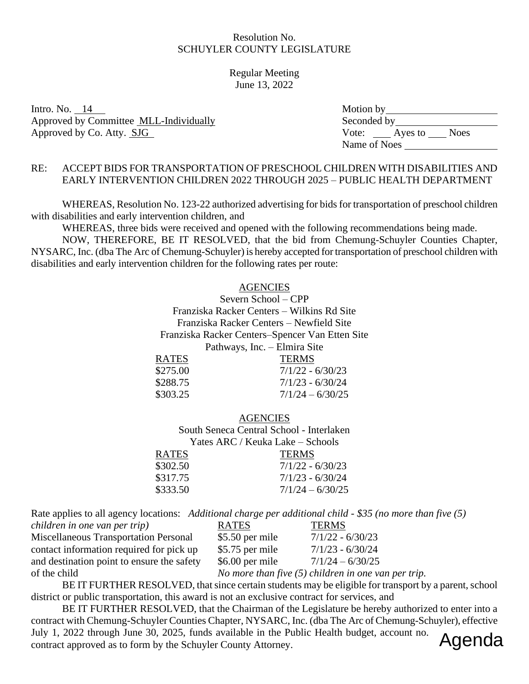#### Regular Meeting June 13, 2022

Intro. No.  $14$ Approved by Committee MLL-Individually Approved by Co. Atty. SJG

| Motion by    |         |             |
|--------------|---------|-------------|
| Seconded by  |         |             |
| Vote:        | Ayes to | <b>Noes</b> |
| Name of Noes |         |             |

### RE: ACCEPT BIDS FOR TRANSPORTATION OF PRESCHOOL CHILDREN WITH DISABILITIES AND EARLY INTERVENTION CHILDREN 2022 THROUGH 2025 – PUBLIC HEALTH DEPARTMENT

WHEREAS, Resolution No. 123-22 authorized advertising for bids for transportation of preschool children with disabilities and early intervention children, and

WHEREAS, three bids were received and opened with the following recommendations being made.

NOW, THEREFORE, BE IT RESOLVED, that the bid from Chemung-Schuyler Counties Chapter, NYSARC, Inc. (dba The Arc of Chemung-Schuyler) is hereby accepted for transportation of preschool children with disabilities and early intervention children for the following rates per route:

#### **AGENCIES**

Severn School – CPP Franziska Racker Centers – Wilkins Rd Site Franziska Racker Centers – Newfield Site Franziska Racker Centers–Spencer Van Etten Site Pathways, Inc. – Elmira Site RATES TERMS

| <b>TERMS</b>       |
|--------------------|
| $7/1/22 - 6/30/23$ |
| $7/1/23 - 6/30/24$ |
| $7/1/24 - 6/30/25$ |
|                    |

**AGENCIES** South Seneca Central School - Interlaken Yates ARC / Keuka Lake – Schools

| <b>TERMS</b>       |
|--------------------|
| $7/1/22 - 6/30/23$ |
| $7/1/23 - 6/30/24$ |
| $7/1/24 - 6/30/25$ |
|                    |

Rate applies to all agency locations: *Additional charge per additional child* - *\$35 (no more than five (5)* 

| children in one van per trip)                | <b>RATES</b>     | <b>TERMS</b>                                          |
|----------------------------------------------|------------------|-------------------------------------------------------|
| <b>Miscellaneous Transportation Personal</b> | \$5.50 per mile  | $7/1/22 - 6/30/23$                                    |
| contact information required for pick up     | \$5.75 per mile  | $7/1/23 - 6/30/24$                                    |
| and destination point to ensure the safety   | $$6.00$ per mile | $7/1/24 - 6/30/25$                                    |
| of the child                                 |                  | No more than five $(5)$ children in one van per trip. |

BE IT FURTHER RESOLVED, that since certain students may be eligible for transport by a parent, school district or public transportation, this award is not an exclusive contract for services, and

BE IT FURTHER RESOLVED, that the Chairman of the Legislature be hereby authorized to enter into a contract with Chemung-Schuyler Counties Chapter, NYSARC, Inc. (dba The Arc of Chemung-Schuyler), effective July 1, 2022 through June 30, 2025, funds available in the Public Health budget, account no. contract approved as to form by the Schuyler County Attorney. Agenda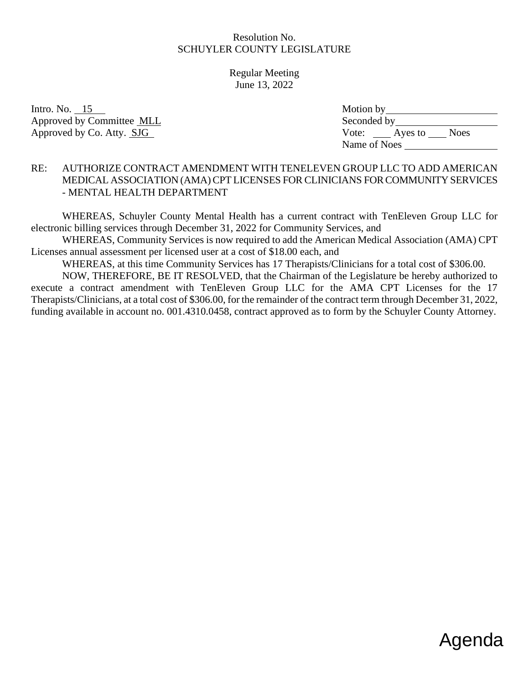Regular Meeting June 13, 2022

Intro. No.  $15$ Approved by Committee MLL Approved by Co. Atty. SJG

| Motion by    |         |             |
|--------------|---------|-------------|
| Seconded by  |         |             |
| Vote:        | Ayes to | <b>Noes</b> |
| Name of Noes |         |             |

#### RE: AUTHORIZE CONTRACT AMENDMENT WITH TENELEVEN GROUP LLC TO ADD AMERICAN MEDICAL ASSOCIATION (AMA) CPT LICENSES FOR CLINICIANS FORCOMMUNITY SERVICES - MENTAL HEALTH DEPARTMENT

WHEREAS, Schuyler County Mental Health has a current contract with TenEleven Group LLC for electronic billing services through December 31, 2022 for Community Services, and

WHEREAS, Community Services is now required to add the American Medical Association (AMA) CPT Licenses annual assessment per licensed user at a cost of \$18.00 each, and

WHEREAS, at this time Community Services has 17 Therapists/Clinicians for a total cost of \$306.00.

NOW, THEREFORE, BE IT RESOLVED, that the Chairman of the Legislature be hereby authorized to execute a contract amendment with TenEleven Group LLC for the AMA CPT Licenses for the 17 Therapists/Clinicians, at a total cost of \$306.00, for the remainder of the contract term through December 31, 2022, funding available in account no. 001.4310.0458, contract approved as to form by the Schuyler County Attorney.

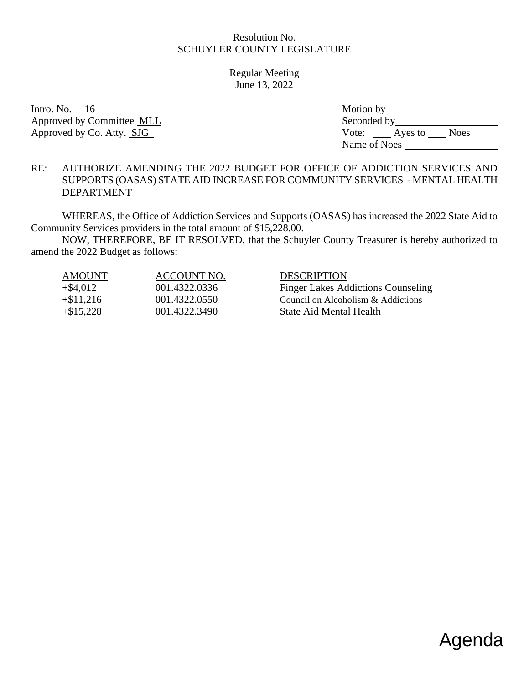Regular Meeting June 13, 2022

Intro. No.  $16$ Approved by Committee MLL Approved by Co. Atty. SJG

| Motion by    |         |             |
|--------------|---------|-------------|
| Seconded by  |         |             |
| Vote:        | Ayes to | <b>Noes</b> |
| Name of Noes |         |             |

### RE: AUTHORIZE AMENDING THE 2022 BUDGET FOR OFFICE OF ADDICTION SERVICES AND SUPPORTS (OASAS) STATE AID INCREASE FOR COMMUNITY SERVICES - MENTAL HEALTH DEPARTMENT

WHEREAS, the Office of Addiction Services and Supports (OASAS) has increased the 2022 State Aid to Community Services providers in the total amount of \$15,228.00.

NOW, THEREFORE, BE IT RESOLVED, that the Schuyler County Treasurer is hereby authorized to amend the 2022 Budget as follows:

| <b>AMOUNT</b> | ACCOUNT NO.   | <b>DESCRIPTION</b>                        |
|---------------|---------------|-------------------------------------------|
| $+$ \$4,012   | 001.4322.0336 | <b>Finger Lakes Addictions Counseling</b> |
| $+ $11,216$   | 001.4322.0550 | Council on Alcoholism & Addictions        |
| $+\$15,228$   | 001.4322.3490 | State Aid Mental Health                   |

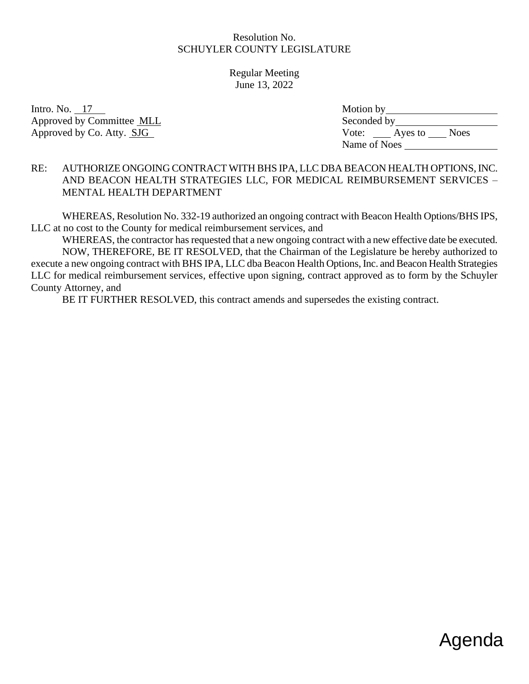Regular Meeting June 13, 2022

Intro. No.  $17$ Approved by Committee MLL Approved by Co. Atty. SJG

| Motion by    |         |             |
|--------------|---------|-------------|
| Seconded by  |         |             |
| Vote:        | Ayes to | <b>Noes</b> |
| Name of Noes |         |             |

#### RE: AUTHORIZE ONGOING CONTRACT WITH BHS IPA, LLC DBA BEACON HEALTH OPTIONS, INC. AND BEACON HEALTH STRATEGIES LLC, FOR MEDICAL REIMBURSEMENT SERVICES – MENTAL HEALTH DEPARTMENT

WHEREAS, Resolution No. 332-19 authorized an ongoing contract with Beacon Health Options/BHS IPS, LLC at no cost to the County for medical reimbursement services, and

WHEREAS, the contractor has requested that a new ongoing contract with a new effective date be executed. NOW, THEREFORE, BE IT RESOLVED, that the Chairman of the Legislature be hereby authorized to execute a new ongoing contract with BHS IPA, LLC dba Beacon Health Options, Inc. and Beacon Health Strategies LLC for medical reimbursement services, effective upon signing, contract approved as to form by the Schuyler County Attorney, and

BE IT FURTHER RESOLVED, this contract amends and supersedes the existing contract.

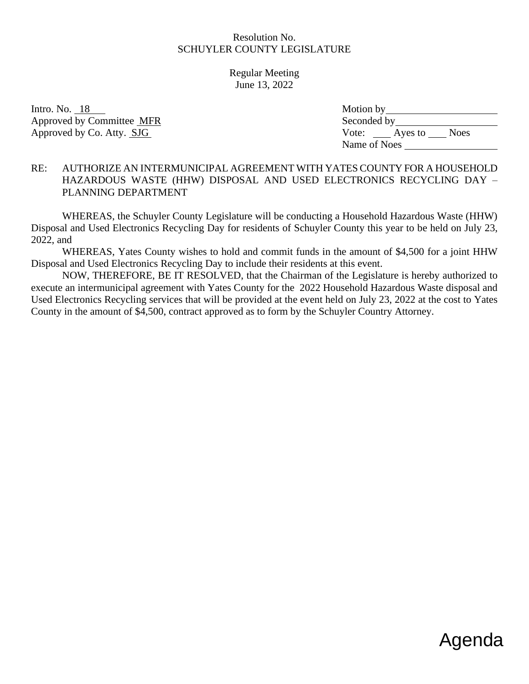Regular Meeting June 13, 2022

Intro. No.  $18$ Approved by Committee MFR Approved by Co. Atty. SJG

| Motion by    |         |             |
|--------------|---------|-------------|
| Seconded by  |         |             |
| Vote:        | Ayes to | <b>Noes</b> |
| Name of Noes |         |             |

#### RE: AUTHORIZE AN INTERMUNICIPAL AGREEMENT WITH YATES COUNTY FOR A HOUSEHOLD HAZARDOUS WASTE (HHW) DISPOSAL AND USED ELECTRONICS RECYCLING DAY – PLANNING DEPARTMENT

WHEREAS, the Schuyler County Legislature will be conducting a Household Hazardous Waste (HHW) Disposal and Used Electronics Recycling Day for residents of Schuyler County this year to be held on July 23, 2022, and

WHEREAS, Yates County wishes to hold and commit funds in the amount of \$4,500 for a joint HHW Disposal and Used Electronics Recycling Day to include their residents at this event.

NOW, THEREFORE, BE IT RESOLVED, that the Chairman of the Legislature is hereby authorized to execute an intermunicipal agreement with Yates County for the 2022 Household Hazardous Waste disposal and Used Electronics Recycling services that will be provided at the event held on July 23, 2022 at the cost to Yates County in the amount of \$4,500, contract approved as to form by the Schuyler Country Attorney.

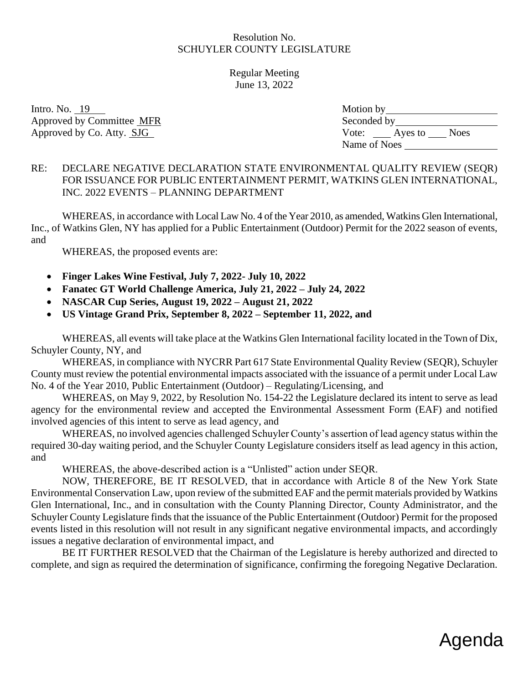Regular Meeting June 13, 2022

Intro. No.  $19$ Approved by Committee MFR Approved by Co. Atty. SJG

| Motion by    |         |             |
|--------------|---------|-------------|
| Seconded by  |         |             |
| Vote:        | Ayes to | <b>Noes</b> |
| Name of Noes |         |             |

# RE: DECLARE NEGATIVE DECLARATION STATE ENVIRONMENTAL QUALITY REVIEW (SEQR) FOR ISSUANCE FOR PUBLIC ENTERTAINMENT PERMIT, WATKINS GLEN INTERNATIONAL, INC. 2022 EVENTS – PLANNING DEPARTMENT

WHEREAS, in accordance with Local Law No. 4 of the Year 2010, as amended, Watkins Glen International, Inc., of Watkins Glen, NY has applied for a Public Entertainment (Outdoor) Permit for the 2022 season of events, and

WHEREAS, the proposed events are:

- **Finger Lakes Wine Festival, July 7, 2022- July 10, 2022**
- **Fanatec GT World Challenge America, July 21, 2022 – July 24, 2022**
- **NASCAR Cup Series, August 19, 2022 – August 21, 2022**
- **US Vintage Grand Prix, September 8, 2022 – September 11, 2022, and**

WHEREAS, all events will take place at the Watkins Glen International facility located in the Town of Dix, Schuyler County, NY, and

WHEREAS, in compliance with NYCRR Part 617 State Environmental Quality Review (SEQR), Schuyler County must review the potential environmental impacts associated with the issuance of a permit under Local Law No. 4 of the Year 2010, Public Entertainment (Outdoor) – Regulating/Licensing, and

WHEREAS, on May 9, 2022, by Resolution No. 154-22 the Legislature declared its intent to serve as lead agency for the environmental review and accepted the Environmental Assessment Form (EAF) and notified involved agencies of this intent to serve as lead agency, and

WHEREAS, no involved agencies challenged Schuyler County's assertion of lead agency status within the required 30-day waiting period, and the Schuyler County Legislature considers itself as lead agency in this action, and

WHEREAS, the above-described action is a "Unlisted" action under SEQR.

NOW, THEREFORE, BE IT RESOLVED, that in accordance with Article 8 of the New York State Environmental Conservation Law, upon review of the submitted EAF and the permit materials provided by Watkins Glen International, Inc., and in consultation with the County Planning Director, County Administrator, and the Schuyler County Legislature finds that the issuance of the Public Entertainment (Outdoor) Permit for the proposed events listed in this resolution will not result in any significant negative environmental impacts, and accordingly issues a negative declaration of environmental impact, and

BE IT FURTHER RESOLVED that the Chairman of the Legislature is hereby authorized and directed to complete, and sign as required the determination of significance, confirming the foregoing Negative Declaration.

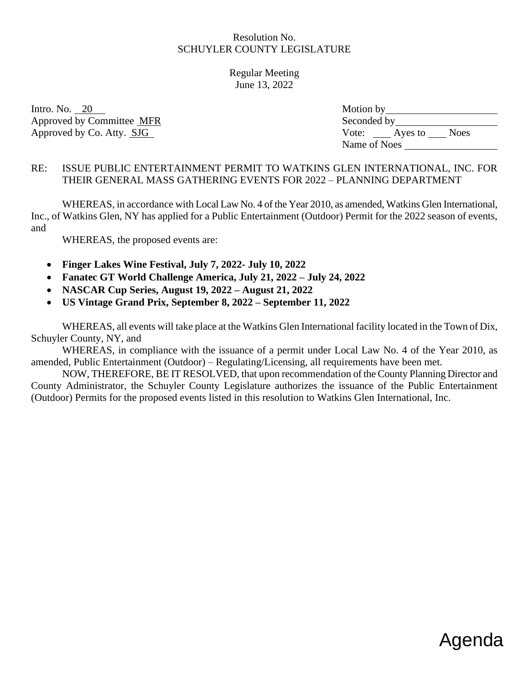Regular Meeting June 13, 2022

Intro. No.  $20$ Approved by Committee MFR Approved by Co. Atty. SJG

| Motion by    |         |             |
|--------------|---------|-------------|
| Seconded by  |         |             |
| Vote:        | Ayes to | <b>Noes</b> |
| Name of Noes |         |             |

### RE: ISSUE PUBLIC ENTERTAINMENT PERMIT TO WATKINS GLEN INTERNATIONAL, INC. FOR THEIR GENERAL MASS GATHERING EVENTS FOR 2022 – PLANNING DEPARTMENT

WHEREAS, in accordance with Local Law No. 4 of the Year 2010, as amended, Watkins Glen International, Inc., of Watkins Glen, NY has applied for a Public Entertainment (Outdoor) Permit for the 2022 season of events, and

WHEREAS, the proposed events are:

- **Finger Lakes Wine Festival, July 7, 2022- July 10, 2022**
- **Fanatec GT World Challenge America, July 21, 2022 – July 24, 2022**
- **NASCAR Cup Series, August 19, 2022 – August 21, 2022**
- **US Vintage Grand Prix, September 8, 2022 – September 11, 2022**

WHEREAS, all events will take place at the Watkins Glen International facility located in the Town of Dix, Schuyler County, NY, and

WHEREAS, in compliance with the issuance of a permit under Local Law No. 4 of the Year 2010, as amended, Public Entertainment (Outdoor) – Regulating/Licensing, all requirements have been met.

NOW, THEREFORE, BE IT RESOLVED, that upon recommendation of the County Planning Director and County Administrator, the Schuyler County Legislature authorizes the issuance of the Public Entertainment (Outdoor) Permits for the proposed events listed in this resolution to Watkins Glen International, Inc.

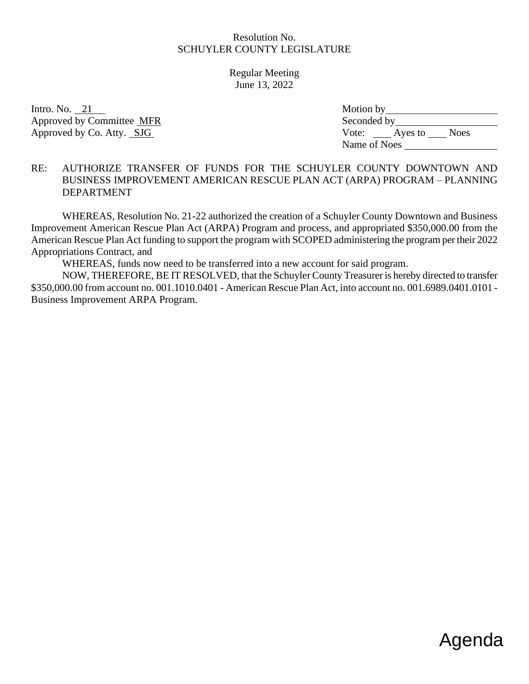Regular Meeting June 13, 2022

Intro. No.  $21$ Approved by Committee MFR Approved by Co. Atty. SJG

| Motion by    |         |             |
|--------------|---------|-------------|
| Seconded by  |         |             |
| Vote:        | Ayes to | <b>Noes</b> |
| Name of Noes |         |             |

#### RE: AUTHORIZE TRANSFER OF FUNDS FOR THE SCHUYLER COUNTY DOWNTOWN AND BUSINESS IMPROVEMENT AMERICAN RESCUE PLAN ACT (ARPA) PROGRAM – PLANNING DEPARTMENT

WHEREAS, Resolution No. 21-22 authorized the creation of a Schuyler County Downtown and Business Improvement American Rescue Plan Act (ARPA) Program and process, and appropriated \$350,000.00 from the American Rescue Plan Act funding to support the program with SCOPED administering the program per their 2022 Appropriations Contract, and

WHEREAS, funds now need to be transferred into a new account for said program.

NOW, THEREFORE, BE IT RESOLVED, that the Schuyler County Treasurer is hereby directed to transfer \$350,000.00 from account no. 001.1010.0401 - American Rescue Plan Act, into account no. 001.6989.0401.0101 - Business Improvement ARPA Program.

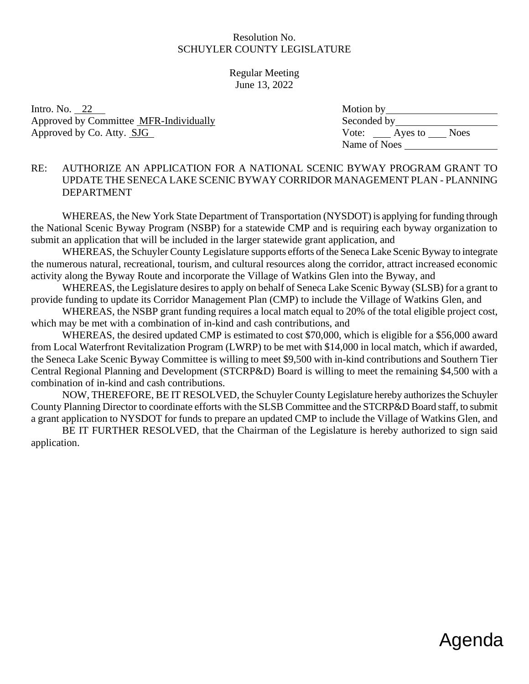Regular Meeting June 13, 2022

Intro. No.  $22$ Approved by Committee MFR-Individually Approved by Co. Atty. SJG

| Motion by    |         |             |
|--------------|---------|-------------|
| Seconded by  |         |             |
| Vote:        | Ayes to | <b>Noes</b> |
| Name of Noes |         |             |

### RE: AUTHORIZE AN APPLICATION FOR A NATIONAL SCENIC BYWAY PROGRAM GRANT TO UPDATE THE SENECA LAKE SCENIC BYWAY CORRIDOR MANAGEMENT PLAN - PLANNING DEPARTMENT

WHEREAS, the New York State Department of Transportation (NYSDOT) is applying for funding through the National Scenic Byway Program (NSBP) for a statewide CMP and is requiring each byway organization to submit an application that will be included in the larger statewide grant application, and

WHEREAS, the Schuyler County Legislature supports efforts of the Seneca Lake Scenic Byway to integrate the numerous natural, recreational, tourism, and cultural resources along the corridor, attract increased economic activity along the Byway Route and incorporate the Village of Watkins Glen into the Byway, and

WHEREAS, the Legislature desires to apply on behalf of Seneca Lake Scenic Byway (SLSB) for a grant to provide funding to update its Corridor Management Plan (CMP) to include the Village of Watkins Glen, and

WHEREAS, the NSBP grant funding requires a local match equal to 20% of the total eligible project cost, which may be met with a combination of in-kind and cash contributions, and

WHEREAS, the desired updated CMP is estimated to cost \$70,000, which is eligible for a \$56,000 award from Local Waterfront Revitalization Program (LWRP) to be met with \$14,000 in local match, which if awarded, the Seneca Lake Scenic Byway Committee is willing to meet \$9,500 with in-kind contributions and Southern Tier Central Regional Planning and Development (STCRP&D) Board is willing to meet the remaining \$4,500 with a combination of in-kind and cash contributions.

NOW, THEREFORE, BE IT RESOLVED, the Schuyler County Legislature hereby authorizes the Schuyler County Planning Director to coordinate efforts with the SLSB Committee and the STCRP&D Board staff, to submit a grant application to NYSDOT for funds to prepare an updated CMP to include the Village of Watkins Glen, and

BE IT FURTHER RESOLVED, that the Chairman of the Legislature is hereby authorized to sign said application.

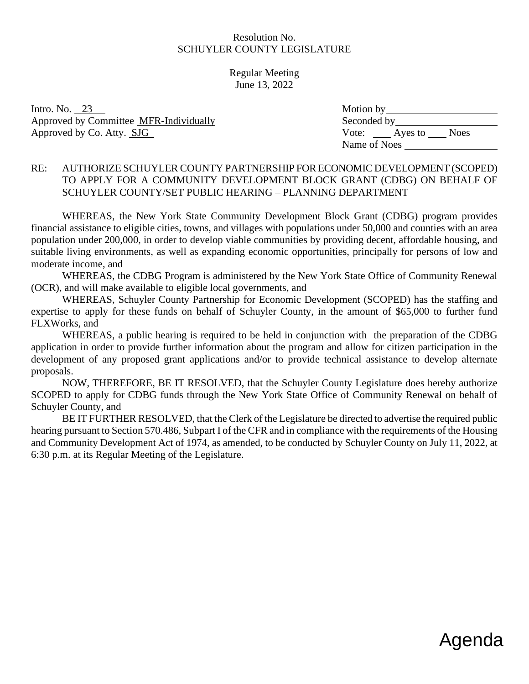Regular Meeting June 13, 2022

Intro. No.  $23$ Approved by Committee MFR-Individually Approved by Co. Atty. SJG

| Motion by    |         |             |
|--------------|---------|-------------|
| Seconded by  |         |             |
| Vote:        | Ayes to | <b>Noes</b> |
| Name of Noes |         |             |

#### RE: AUTHORIZE SCHUYLER COUNTY PARTNERSHIP FOR ECONOMIC DEVELOPMENT (SCOPED) TO APPLY FOR A COMMUNITY DEVELOPMENT BLOCK GRANT (CDBG) ON BEHALF OF SCHUYLER COUNTY/SET PUBLIC HEARING – PLANNING DEPARTMENT

WHEREAS, the New York State Community Development Block Grant (CDBG) program provides financial assistance to eligible cities, towns, and villages with populations under 50,000 and counties with an area population under 200,000, in order to develop viable communities by providing decent, affordable housing, and suitable living environments, as well as expanding economic opportunities, principally for persons of low and moderate income, and

WHEREAS, the CDBG Program is administered by the New York State Office of Community Renewal (OCR), and will make available to eligible local governments, and

WHEREAS, Schuyler County Partnership for Economic Development (SCOPED) has the staffing and expertise to apply for these funds on behalf of Schuyler County, in the amount of \$65,000 to further fund FLXWorks, and

WHEREAS, a public hearing is required to be held in conjunction with the preparation of the CDBG application in order to provide further information about the program and allow for citizen participation in the development of any proposed grant applications and/or to provide technical assistance to develop alternate proposals.

NOW, THEREFORE, BE IT RESOLVED, that the Schuyler County Legislature does hereby authorize SCOPED to apply for CDBG funds through the New York State Office of Community Renewal on behalf of Schuyler County, and

BE IT FURTHER RESOLVED, that the Clerk of the Legislature be directed to advertise the required public hearing pursuant to Section 570.486, Subpart I of the CFR and in compliance with the requirements of the Housing and Community Development Act of 1974, as amended, to be conducted by Schuyler County on July 11, 2022, at 6:30 p.m. at its Regular Meeting of the Legislature.